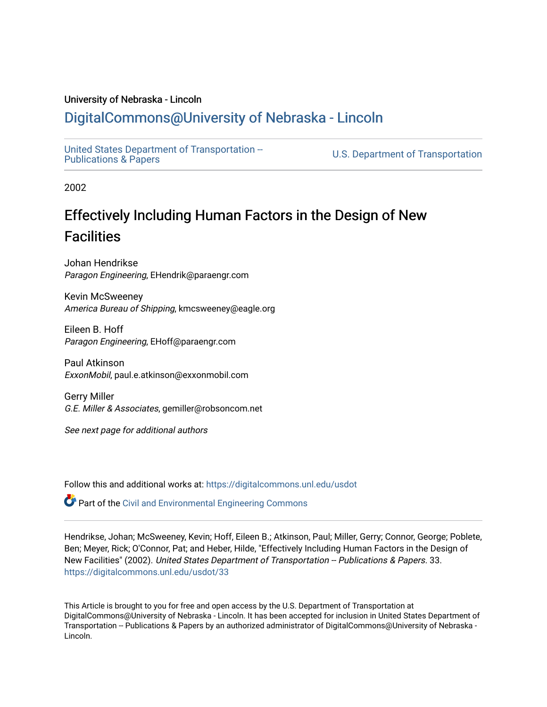#### University of Nebraska - Lincoln

# [DigitalCommons@University of Nebraska - Lincoln](https://digitalcommons.unl.edu/)

[United States Department of Transportation --](https://digitalcommons.unl.edu/usdot)<br>Publications & Papers

U.S. Department of Transportation

2002

# Effectively Including Human Factors in the Design of New **Facilities**

Johan Hendrikse Paragon Engineering, EHendrik@paraengr.com

Kevin McSweeney America Bureau of Shipping, kmcsweeney@eagle.org

Eileen B. Hoff Paragon Engineering, EHoff@paraengr.com

Paul Atkinson ExxonMobil, paul.e.atkinson@exxonmobil.com

Gerry Miller G.E. Miller & Associates, gemiller@robsoncom.net

See next page for additional authors

Follow this and additional works at: [https://digitalcommons.unl.edu/usdot](https://digitalcommons.unl.edu/usdot?utm_source=digitalcommons.unl.edu%2Fusdot%2F33&utm_medium=PDF&utm_campaign=PDFCoverPages) 

Part of the [Civil and Environmental Engineering Commons](http://network.bepress.com/hgg/discipline/251?utm_source=digitalcommons.unl.edu%2Fusdot%2F33&utm_medium=PDF&utm_campaign=PDFCoverPages)

Hendrikse, Johan; McSweeney, Kevin; Hoff, Eileen B.; Atkinson, Paul; Miller, Gerry; Connor, George; Poblete, Ben; Meyer, Rick; O'Connor, Pat; and Heber, Hilde, "Effectively Including Human Factors in the Design of New Facilities" (2002). United States Department of Transportation -- Publications & Papers. 33. [https://digitalcommons.unl.edu/usdot/33](https://digitalcommons.unl.edu/usdot/33?utm_source=digitalcommons.unl.edu%2Fusdot%2F33&utm_medium=PDF&utm_campaign=PDFCoverPages)

This Article is brought to you for free and open access by the U.S. Department of Transportation at DigitalCommons@University of Nebraska - Lincoln. It has been accepted for inclusion in United States Department of Transportation -- Publications & Papers by an authorized administrator of DigitalCommons@University of Nebraska -Lincoln.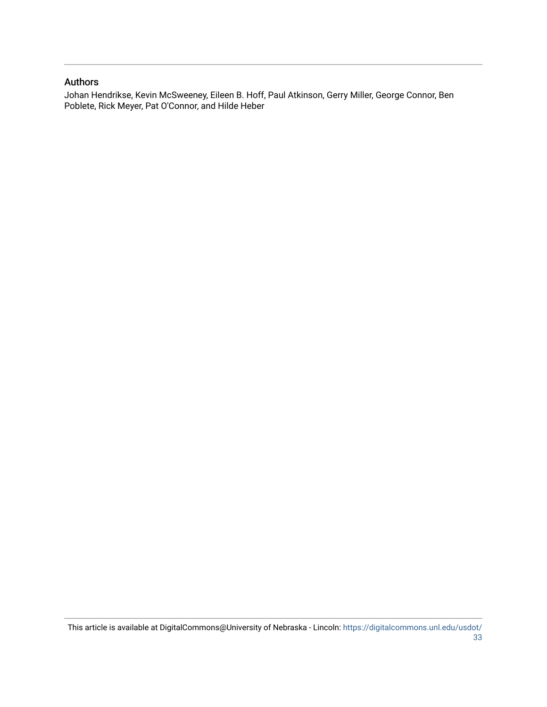#### Authors

Johan Hendrikse, Kevin McSweeney, Eileen B. Hoff, Paul Atkinson, Gerry Miller, George Connor, Ben Poblete, Rick Meyer, Pat O'Connor, and Hilde Heber

This article is available at DigitalCommons@University of Nebraska - Lincoln: [https://digitalcommons.unl.edu/usdot/](https://digitalcommons.unl.edu/usdot/33) [33](https://digitalcommons.unl.edu/usdot/33)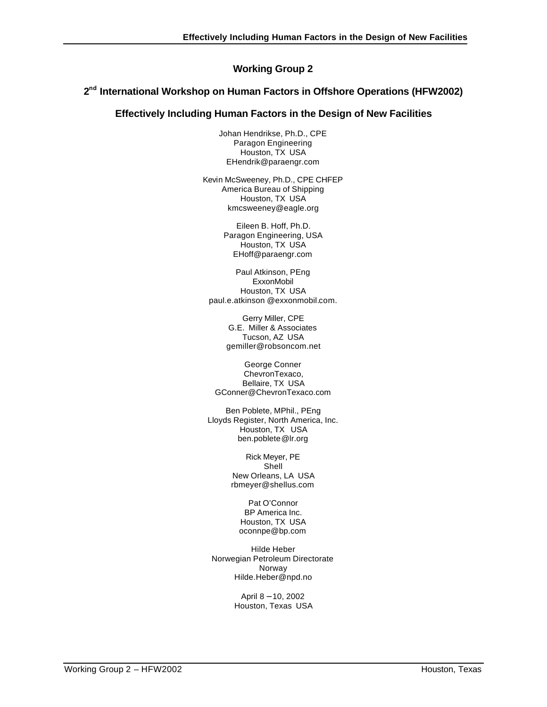# **Working Group 2**

#### 2<sup>nd</sup> International Workshop on Human Factors in Offshore Operations (HFW2002)

#### **Effectively Including Human Factors in the Design of New Facilities**

Johan Hendrikse, Ph.D., CPE Paragon Engineering Houston, TX USA EHendrik@paraengr.com

Kevin McSweeney, Ph.D., CPE CHFEP America Bureau of Shipping Houston, TX USA kmcsweeney@eagle.org

> Eileen B. Hoff, Ph.D. Paragon Engineering, USA Houston, TX USA EHoff@paraengr.com

Paul Atkinson, PEng **ExxonMobil** Houston, TX USA paul.e.atkinson @exxonmobil.com.

> Gerry Miller, CPE G.E. Miller & Associates Tucson, AZ USA gemiller@robsoncom.net

George Conner ChevronTexaco, Bellaire, TX USA GConner@ChevronTexaco.com

Ben Poblete, MPhil., PEng Lloyds Register, North America, Inc. Houston, TX USA ben.poblete@lr.org

> Rick Meyer, PE Shell New Orleans, LA USA rbmeyer@shellus.com

Pat O'Connor BP America Inc. Houston, TX USA oconnpe@bp.com

Hilde Heber Norwegian Petroleum Directorate Norway Hilde.Heber@npd.no

> April 8 − 10, 2002 Houston, Texas USA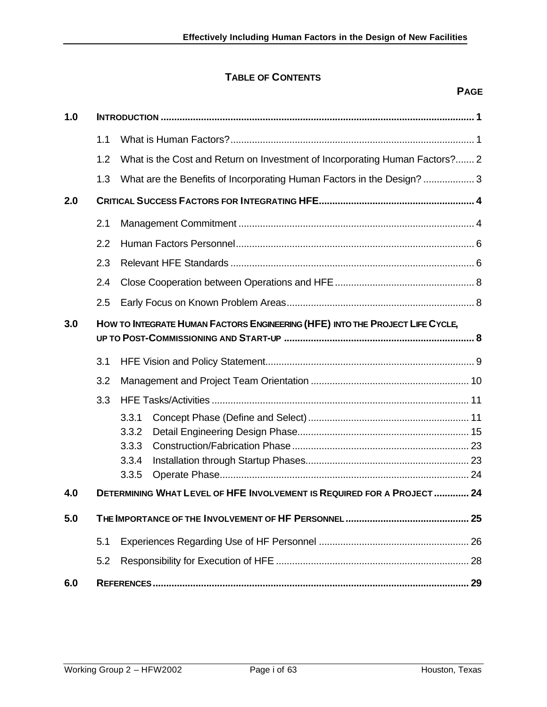# **TABLE OF CONTENTS**

**1.0 INTRODUCTION ..................................................................................................................... 1**

|                                                                                      | 3.2<br>3.3 | 3.3.1                                                                       |  |  |  |
|--------------------------------------------------------------------------------------|------------|-----------------------------------------------------------------------------|--|--|--|
|                                                                                      |            |                                                                             |  |  |  |
|                                                                                      |            |                                                                             |  |  |  |
|                                                                                      |            |                                                                             |  |  |  |
|                                                                                      | 3.1        |                                                                             |  |  |  |
| HOW TO INTEGRATE HUMAN FACTORS ENGINEERING (HFE) INTO THE PROJECT LIFE CYCLE,<br>3.0 |            |                                                                             |  |  |  |
|                                                                                      | 2.5        |                                                                             |  |  |  |
|                                                                                      | 2.4        |                                                                             |  |  |  |
|                                                                                      | 2.3        |                                                                             |  |  |  |
|                                                                                      | 2.2        |                                                                             |  |  |  |
|                                                                                      | 2.1        |                                                                             |  |  |  |
| 2.0                                                                                  |            |                                                                             |  |  |  |
|                                                                                      | 1.3        | What are the Benefits of Incorporating Human Factors in the Design?  3      |  |  |  |
|                                                                                      | 1.2        | What is the Cost and Return on Investment of Incorporating Human Factors? 2 |  |  |  |
|                                                                                      | 1.1        |                                                                             |  |  |  |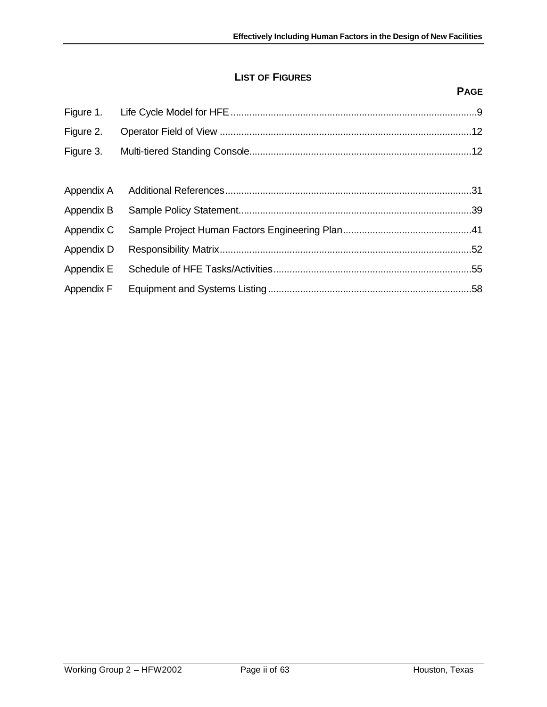# **LIST OF FIGURES**

|            | <b>PAGE</b> |
|------------|-------------|
| Figure 1.  |             |
| Figure 2.  |             |
| Figure 3.  |             |
|            |             |
| Appendix A |             |
| Appendix B |             |
| Appendix C |             |
| Appendix D |             |
| Appendix E |             |
| Appendix F |             |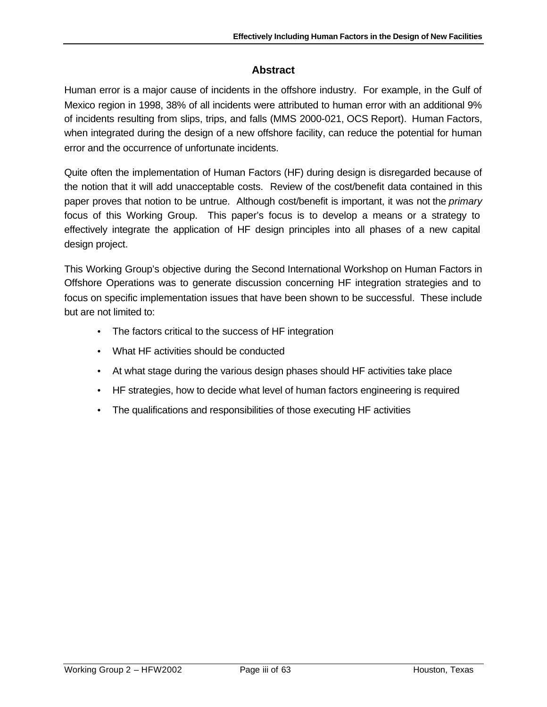# **Abstract**

Human error is a major cause of incidents in the offshore industry. For example, in the Gulf of Mexico region in 1998, 38% of all incidents were attributed to human error with an additional 9% of incidents resulting from slips, trips, and falls (MMS 2000-021, OCS Report). Human Factors, when integrated during the design of a new offshore facility, can reduce the potential for human error and the occurrence of unfortunate incidents.

Quite often the implementation of Human Factors (HF) during design is disregarded because of the notion that it will add unacceptable costs. Review of the cost/benefit data contained in this paper proves that notion to be untrue. Although cost/benefit is important, it was not the *primary* focus of this Working Group. This paper's focus is to develop a means or a strategy to effectively integrate the application of HF design principles into all phases of a new capital design project.

This Working Group's objective during the Second International Workshop on Human Factors in Offshore Operations was to generate discussion concerning HF integration strategies and to focus on specific implementation issues that have been shown to be successful. These include but are not limited to:

- The factors critical to the success of HF integration
- What HF activities should be conducted
- At what stage during the various design phases should HF activities take place
- HF strategies, how to decide what level of human factors engineering is required
- The qualifications and responsibilities of those executing HF activities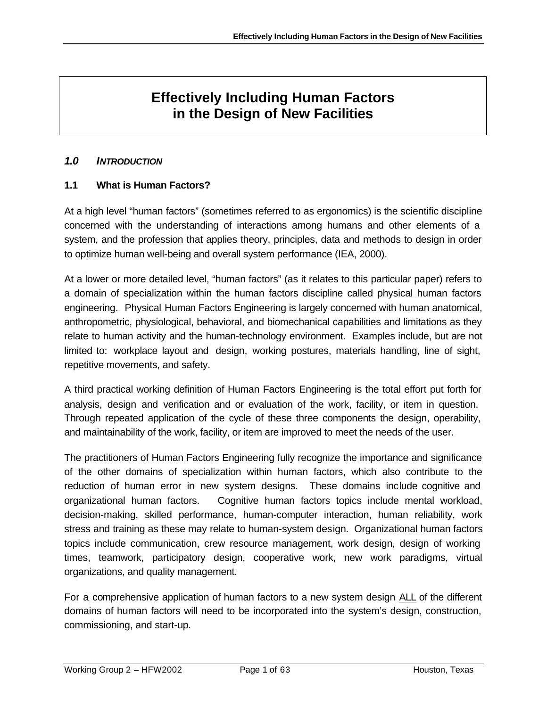# **Effectively Including Human Factors in the Design of New Facilities**

### *1.0 INTRODUCTION*

# **1.1 What is Human Factors?**

At a high level "human factors" (sometimes referred to as ergonomics) is the scientific discipline concerned with the understanding of interactions among humans and other elements of a system, and the profession that applies theory, principles, data and methods to design in order to optimize human well-being and overall system performance (IEA, 2000).

At a lower or more detailed level, "human factors" (as it relates to this particular paper) refers to a domain of specialization within the human factors discipline called physical human factors engineering. Physical Human Factors Engineering is largely concerned with human anatomical, anthropometric, physiological, behavioral, and biomechanical capabilities and limitations as they relate to human activity and the human-technology environment. Examples include, but are not limited to: workplace layout and design, working postures, materials handling, line of sight, repetitive movements, and safety.

A third practical working definition of Human Factors Engineering is the total effort put forth for analysis, design and verification and or evaluation of the work, facility, or item in question. Through repeated application of the cycle of these three components the design, operability, and maintainability of the work, facility, or item are improved to meet the needs of the user.

The practitioners of Human Factors Engineering fully recognize the importance and significance of the other domains of specialization within human factors, which also contribute to the reduction of human error in new system designs. These domains include cognitive and organizational human factors. Cognitive human factors topics include mental workload, decision-making, skilled performance, human-computer interaction, human reliability, work stress and training as these may relate to human-system design. Organizational human factors topics include communication, crew resource management, work design, design of working times, teamwork, participatory design, cooperative work, new work paradigms, virtual organizations, and quality management.

For a comprehensive application of human factors to a new system design ALL of the different domains of human factors will need to be incorporated into the system's design, construction, commissioning, and start-up.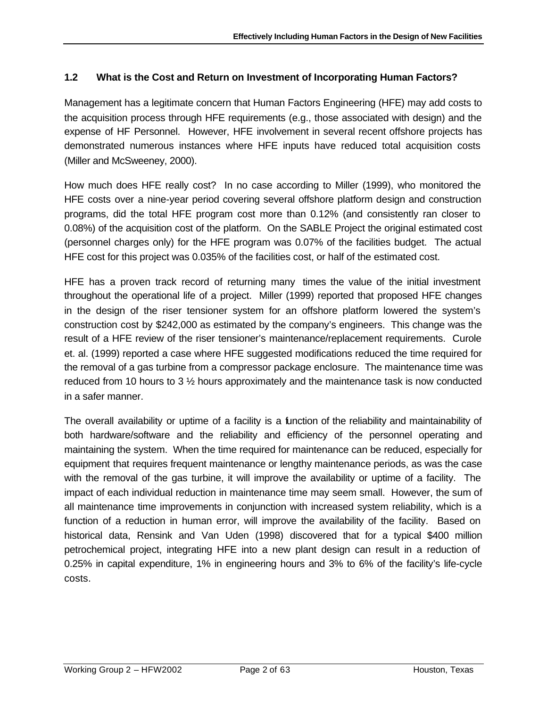# **1.2 What is the Cost and Return on Investment of Incorporating Human Factors?**

Management has a legitimate concern that Human Factors Engineering (HFE) may add costs to the acquisition process through HFE requirements (e.g., those associated with design) and the expense of HF Personnel. However, HFE involvement in several recent offshore projects has demonstrated numerous instances where HFE inputs have reduced total acquisition costs (Miller and McSweeney, 2000).

How much does HFE really cost? In no case according to Miller (1999), who monitored the HFE costs over a nine-year period covering several offshore platform design and construction programs, did the total HFE program cost more than 0.12% (and consistently ran closer to 0.08%) of the acquisition cost of the platform. On the SABLE Project the original estimated cost (personnel charges only) for the HFE program was 0.07% of the facilities budget. The actual HFE cost for this project was 0.035% of the facilities cost, or half of the estimated cost.

HFE has a proven track record of returning many times the value of the initial investment throughout the operational life of a project. Miller (1999) reported that proposed HFE changes in the design of the riser tensioner system for an offshore platform lowered the system's construction cost by \$242,000 as estimated by the company's engineers. This change was the result of a HFE review of the riser tensioner's maintenance/replacement requirements. Curole et. al. (1999) reported a case where HFE suggested modifications reduced the time required for the removal of a gas turbine from a compressor package enclosure. The maintenance time was reduced from 10 hours to 3 ½ hours approximately and the maintenance task is now conducted in a safer manner.

The overall availability or uptime of a facility is a function of the reliability and maintainability of both hardware/software and the reliability and efficiency of the personnel operating and maintaining the system. When the time required for maintenance can be reduced, especially for equipment that requires frequent maintenance or lengthy maintenance periods, as was the case with the removal of the gas turbine, it will improve the availability or uptime of a facility. The impact of each individual reduction in maintenance time may seem small. However, the sum of all maintenance time improvements in conjunction with increased system reliability, which is a function of a reduction in human error, will improve the availability of the facility. Based on historical data, Rensink and Van Uden (1998) discovered that for a typical \$400 million petrochemical project, integrating HFE into a new plant design can result in a reduction of 0.25% in capital expenditure, 1% in engineering hours and 3% to 6% of the facility's life-cycle costs.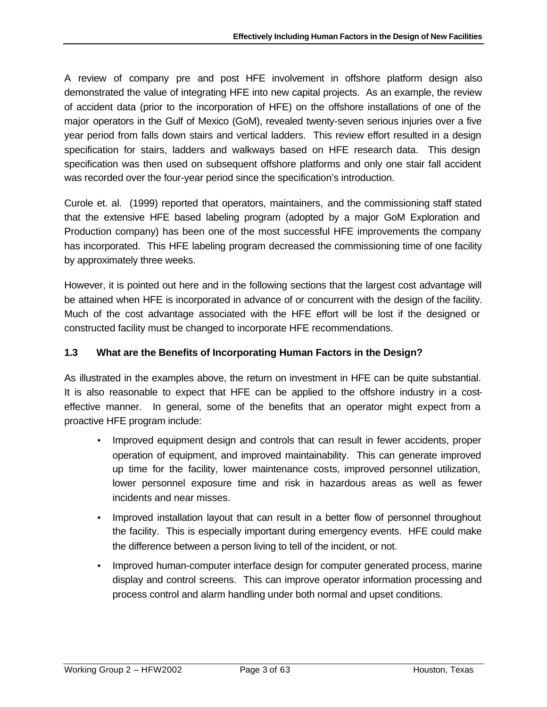A review of company pre and post HFE involvement in offshore platform design also demonstrated the value of integrating HFE into new capital projects. As an example, the review of accident data (prior to the incorporation of HFE) on the offshore installations of one of the major operators in the Gulf of Mexico (GoM), revealed twenty-seven serious injuries over a five year period from falls down stairs and vertical ladders. This review effort resulted in a design specification for stairs, ladders and walkways based on HFE research data. This design specification was then used on subsequent offshore platforms and only one stair fall accident was recorded over the four-year period since the specification's introduction.

Curole et. al. (1999) reported that operators, maintainers, and the commissioning staff stated that the extensive HFE based labeling program (adopted by a major GoM Exploration and Production company) has been one of the most successful HFE improvements the company has incorporated. This HFE labeling program decreased the commissioning time of one facility by approximately three weeks.

However, it is pointed out here and in the following sections that the largest cost advantage will be attained when HFE is incorporated in advance of or concurrent with the design of the facility. Much of the cost advantage associated with the HFE effort will be lost if the designed or constructed facility must be changed to incorporate HFE recommendations.

# **1.3 What are the Benefits of Incorporating Human Factors in the Design?**

As illustrated in the examples above, the return on investment in HFE can be quite substantial. It is also reasonable to expect that HFE can be applied to the offshore industry in a costeffective manner. In general, some of the benefits that an operator might expect from a proactive HFE program include:

- Improved equipment design and controls that can result in fewer accidents, proper operation of equipment, and improved maintainability. This can generate improved up time for the facility, lower maintenance costs, improved personnel utilization, lower personnel exposure time and risk in hazardous areas as well as fewer incidents and near misses.
- Improved installation layout that can result in a better flow of personnel throughout the facility. This is especially important during emergency events. HFE could make the difference between a person living to tell of the incident, or not.
- Improved human-computer interface design for computer generated process, marine display and control screens. This can improve operator information processing and process control and alarm handling under both normal and upset conditions.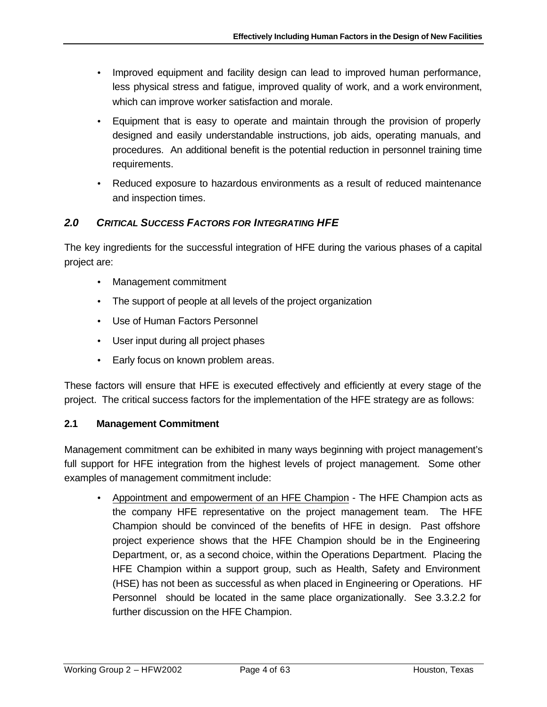- Improved equipment and facility design can lead to improved human performance, less physical stress and fatigue, improved quality of work, and a work environment, which can improve worker satisfaction and morale.
- Equipment that is easy to operate and maintain through the provision of properly designed and easily understandable instructions, job aids, operating manuals, and procedures. An additional benefit is the potential reduction in personnel training time requirements.
- Reduced exposure to hazardous environments as a result of reduced maintenance and inspection times.

# *2.0 CRITICAL SUCCESS FACTORS FOR INTEGRATING HFE*

The key ingredients for the successful integration of HFE during the various phases of a capital project are:

- Management commitment
- The support of people at all levels of the project organization
- Use of Human Factors Personnel
- User input during all project phases
- Early focus on known problem areas.

These factors will ensure that HFE is executed effectively and efficiently at every stage of the project. The critical success factors for the implementation of the HFE strategy are as follows:

# **2.1 Management Commitment**

Management commitment can be exhibited in many ways beginning with project management's full support for HFE integration from the highest levels of project management. Some other examples of management commitment include:

• Appointment and empowerment of an HFE Champion - The HFE Champion acts as the company HFE representative on the project management team. The HFE Champion should be convinced of the benefits of HFE in design. Past offshore project experience shows that the HFE Champion should be in the Engineering Department, or, as a second choice, within the Operations Department. Placing the HFE Champion within a support group, such as Health, Safety and Environment (HSE) has not been as successful as when placed in Engineering or Operations. HF Personnel should be located in the same place organizationally. See 3.3.2.2 for further discussion on the HFE Champion.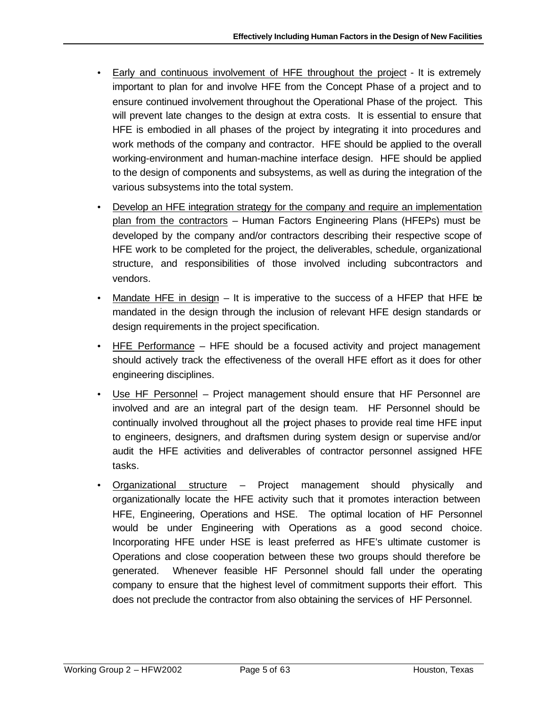- Early and continuous involvement of HFE throughout the project It is extremely important to plan for and involve HFE from the Concept Phase of a project and to ensure continued involvement throughout the Operational Phase of the project. This will prevent late changes to the design at extra costs. It is essential to ensure that HFE is embodied in all phases of the project by integrating it into procedures and work methods of the company and contractor. HFE should be applied to the overall working-environment and human-machine interface design. HFE should be applied to the design of components and subsystems, as well as during the integration of the various subsystems into the total system.
- Develop an HFE integration strategy for the company and require an implementation plan from the contractors – Human Factors Engineering Plans (HFEPs) must be developed by the company and/or contractors describing their respective scope of HFE work to be completed for the project, the deliverables, schedule, organizational structure, and responsibilities of those involved including subcontractors and vendors.
- Mandate HFE in design It is imperative to the success of a HFEP that HFE be mandated in the design through the inclusion of relevant HFE design standards or design requirements in the project specification.
- HFE Performance HFE should be a focused activity and project management should actively track the effectiveness of the overall HFE effort as it does for other engineering disciplines.
- Use HF Personnel Project management should ensure that HF Personnel are involved and are an integral part of the design team. HF Personnel should be continually involved throughout all the project phases to provide real time HFE input to engineers, designers, and draftsmen during system design or supervise and/or audit the HFE activities and deliverables of contractor personnel assigned HFE tasks.
- Organizational structure Project management should physically and organizationally locate the HFE activity such that it promotes interaction between HFE, Engineering, Operations and HSE. The optimal location of HF Personnel would be under Engineering with Operations as a good second choice. Incorporating HFE under HSE is least preferred as HFE's ultimate customer is Operations and close cooperation between these two groups should therefore be generated. Whenever feasible HF Personnel should fall under the operating company to ensure that the highest level of commitment supports their effort. This does not preclude the contractor from also obtaining the services of HF Personnel.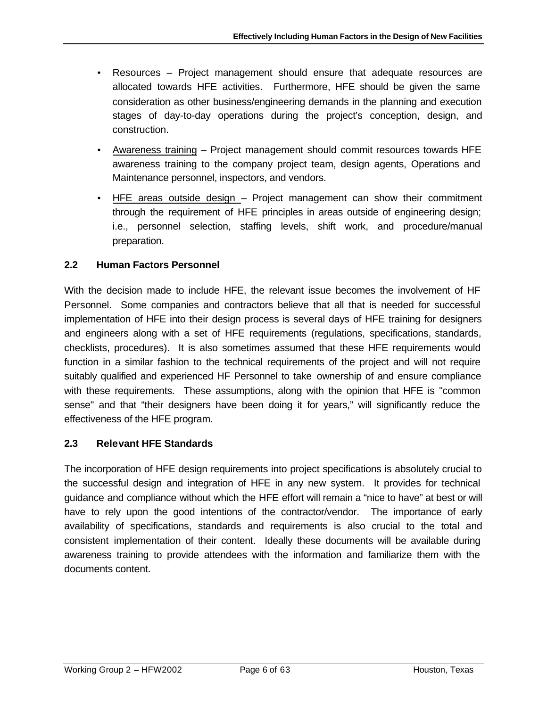- Resources Project management should ensure that adequate resources are allocated towards HFE activities. Furthermore, HFE should be given the same consideration as other business/engineering demands in the planning and execution stages of day-to-day operations during the project's conception, design, and construction.
- Awareness training Project management should commit resources towards HFE awareness training to the company project team, design agents, Operations and Maintenance personnel, inspectors, and vendors.
- HFE areas outside design Project management can show their commitment through the requirement of HFE principles in areas outside of engineering design; i.e., personnel selection, staffing levels, shift work, and procedure/manual preparation.

# **2.2 Human Factors Personnel**

With the decision made to include HFE, the relevant issue becomes the involvement of HF Personnel. Some companies and contractors believe that all that is needed for successful implementation of HFE into their design process is several days of HFE training for designers and engineers along with a set of HFE requirements (regulations, specifications, standards, checklists, procedures). It is also sometimes assumed that these HFE requirements would function in a similar fashion to the technical requirements of the project and will not require suitably qualified and experienced HF Personnel to take ownership of and ensure compliance with these requirements. These assumptions, along with the opinion that HFE is "common sense" and that "their designers have been doing it for years," will significantly reduce the effectiveness of the HFE program.

# **2.3 Relevant HFE Standards**

The incorporation of HFE design requirements into project specifications is absolutely crucial to the successful design and integration of HFE in any new system. It provides for technical guidance and compliance without which the HFE effort will remain a "nice to have" at best or will have to rely upon the good intentions of the contractor/vendor. The importance of early availability of specifications, standards and requirements is also crucial to the total and consistent implementation of their content. Ideally these documents will be available during awareness training to provide attendees with the information and familiarize them with the documents content.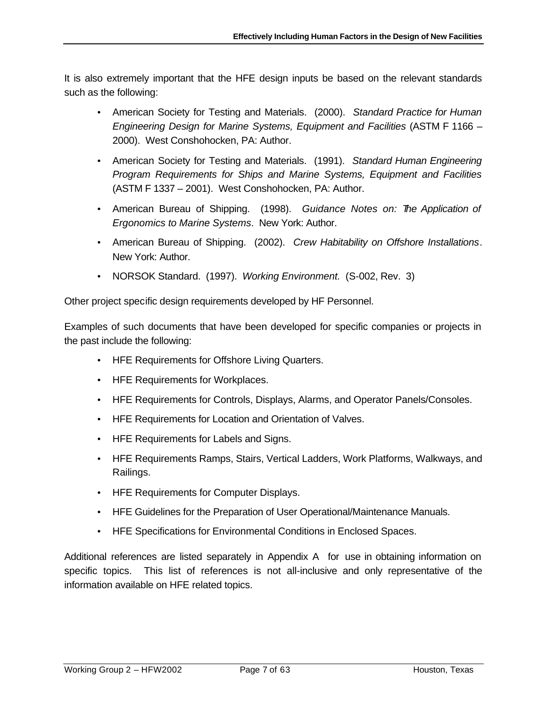It is also extremely important that the HFE design inputs be based on the relevant standards such as the following:

- American Society for Testing and Materials. (2000). *Standard Practice for Human Engineering Design for Marine Systems, Equipment and Facilities* (ASTM F 1166 – 2000). West Conshohocken, PA: Author.
- American Society for Testing and Materials. (1991). *Standard Human Engineering Program Requirements for Ships and Marine Systems, Equipment and Facilities* (ASTM F 1337 – 2001). West Conshohocken, PA: Author.
- American Bureau of Shipping. (1998). *Guidance Notes on: The Application of Ergonomics to Marine Systems*. New York: Author.
- American Bureau of Shipping. (2002). *Crew Habitability on Offshore Installations*. New York: Author.
- NORSOK Standard. (1997). *Working Environment.* (S-002, Rev. 3)

Other project specific design requirements developed by HF Personnel.

Examples of such documents that have been developed for specific companies or projects in the past include the following:

- HFE Requirements for Offshore Living Quarters.
- HFE Requirements for Workplaces.
- HFE Requirements for Controls, Displays, Alarms, and Operator Panels/Consoles.
- HFE Requirements for Location and Orientation of Valves.
- HFE Requirements for Labels and Signs.
- HFE Requirements Ramps, Stairs, Vertical Ladders, Work Platforms, Walkways, and Railings.
- HFE Requirements for Computer Displays.
- HFE Guidelines for the Preparation of User Operational/Maintenance Manuals.
- HFE Specifications for Environmental Conditions in Enclosed Spaces.

Additional references are listed separately in Appendix A for use in obtaining information on specific topics. This list of references is not all-inclusive and only representative of the information available on HFE related topics.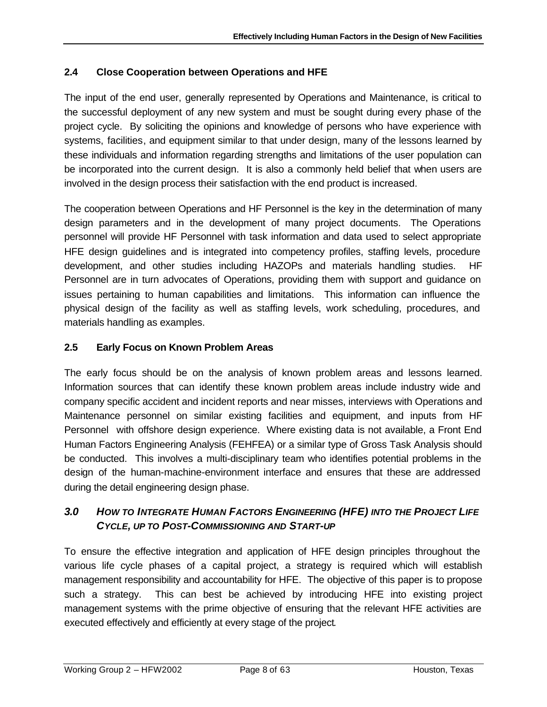# **2.4 Close Cooperation between Operations and HFE**

The input of the end user, generally represented by Operations and Maintenance, is critical to the successful deployment of any new system and must be sought during every phase of the project cycle. By soliciting the opinions and knowledge of persons who have experience with systems, facilities, and equipment similar to that under design, many of the lessons learned by these individuals and information regarding strengths and limitations of the user population can be incorporated into the current design. It is also a commonly held belief that when users are involved in the design process their satisfaction with the end product is increased.

The cooperation between Operations and HF Personnel is the key in the determination of many design parameters and in the development of many project documents. The Operations personnel will provide HF Personnel with task information and data used to select appropriate HFE design guidelines and is integrated into competency profiles, staffing levels, procedure development, and other studies including HAZOPs and materials handling studies. HF Personnel are in turn advocates of Operations, providing them with support and guidance on issues pertaining to human capabilities and limitations. This information can influence the physical design of the facility as well as staffing levels, work scheduling, procedures, and materials handling as examples.

# **2.5 Early Focus on Known Problem Areas**

The early focus should be on the analysis of known problem areas and lessons learned. Information sources that can identify these known problem areas include industry wide and company specific accident and incident reports and near misses, interviews with Operations and Maintenance personnel on similar existing facilities and equipment, and inputs from HF Personnel with offshore design experience. Where existing data is not available, a Front End Human Factors Engineering Analysis (FEHFEA) or a similar type of Gross Task Analysis should be conducted. This involves a multi-disciplinary team who identifies potential problems in the design of the human-machine-environment interface and ensures that these are addressed during the detail engineering design phase.

# *3.0 HOW TO INTEGRATE HUMAN FACTORS ENGINEERING (HFE) INTO THE PROJECT LIFE CYCLE, UP TO POST-COMMISSIONING AND START-UP*

To ensure the effective integration and application of HFE design principles throughout the various life cycle phases of a capital project, a strategy is required which will establish management responsibility and accountability for HFE. The objective of this paper is to propose such a strategy. This can best be achieved by introducing HFE into existing project management systems with the prime objective of ensuring that the relevant HFE activities are executed effectively and efficiently at every stage of the project.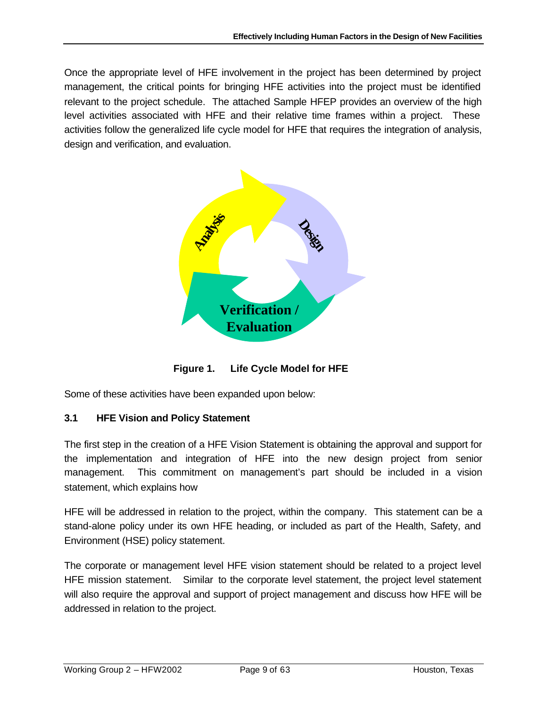Once the appropriate level of HFE involvement in the project has been determined by project management, the critical points for bringing HFE activities into the project must be identified relevant to the project schedule. The attached Sample HFEP provides an overview of the high level activities associated with HFE and their relative time frames within a project. These activities follow the generalized life cycle model for HFE that requires the integration of analysis, design and verification, and evaluation.



**Figure 1. Life Cycle Model for HFE**

Some of these activities have been expanded upon below:

# **3.1 HFE Vision and Policy Statement**

The first step in the creation of a HFE Vision Statement is obtaining the approval and support for the implementation and integration of HFE into the new design project from senior management. This commitment on management's part should be included in a vision statement, which explains how

HFE will be addressed in relation to the project, within the company. This statement can be a stand-alone policy under its own HFE heading, or included as part of the Health, Safety, and Environment (HSE) policy statement.

The corporate or management level HFE vision statement should be related to a project level HFE mission statement. Similar to the corporate level statement, the project level statement will also require the approval and support of project management and discuss how HFE will be addressed in relation to the project.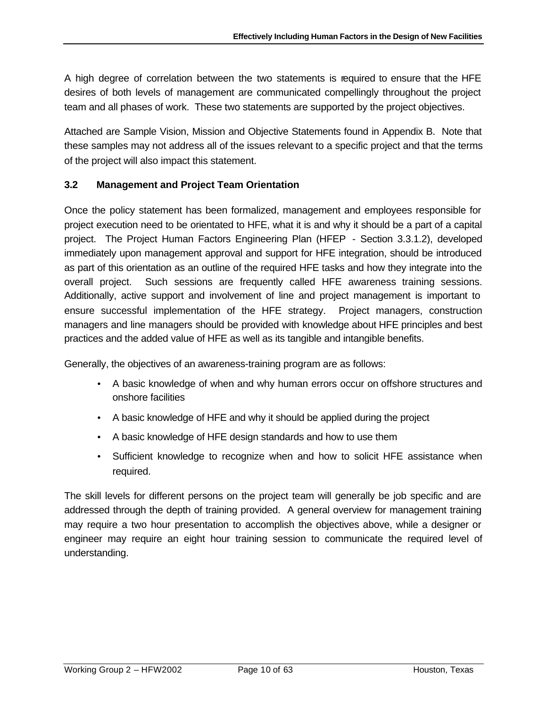A high degree of correlation between the two statements is required to ensure that the HFE desires of both levels of management are communicated compellingly throughout the project team and all phases of work. These two statements are supported by the project objectives.

Attached are Sample Vision, Mission and Objective Statements found in Appendix B. Note that these samples may not address all of the issues relevant to a specific project and that the terms of the project will also impact this statement.

# **3.2 Management and Project Team Orientation**

Once the policy statement has been formalized, management and employees responsible for project execution need to be orientated to HFE, what it is and why it should be a part of a capital project. The Project Human Factors Engineering Plan (HFEP - Section 3.3.1.2), developed immediately upon management approval and support for HFE integration, should be introduced as part of this orientation as an outline of the required HFE tasks and how they integrate into the overall project. Such sessions are frequently called HFE awareness training sessions. Additionally, active support and involvement of line and project management is important to ensure successful implementation of the HFE strategy. Project managers, construction managers and line managers should be provided with knowledge about HFE principles and best practices and the added value of HFE as well as its tangible and intangible benefits.

Generally, the objectives of an awareness-training program are as follows:

- A basic knowledge of when and why human errors occur on offshore structures and onshore facilities
- A basic knowledge of HFE and why it should be applied during the project
- A basic knowledge of HFE design standards and how to use them
- Sufficient knowledge to recognize when and how to solicit HFE assistance when required.

The skill levels for different persons on the project team will generally be job specific and are addressed through the depth of training provided. A general overview for management training may require a two hour presentation to accomplish the objectives above, while a designer or engineer may require an eight hour training session to communicate the required level of understanding.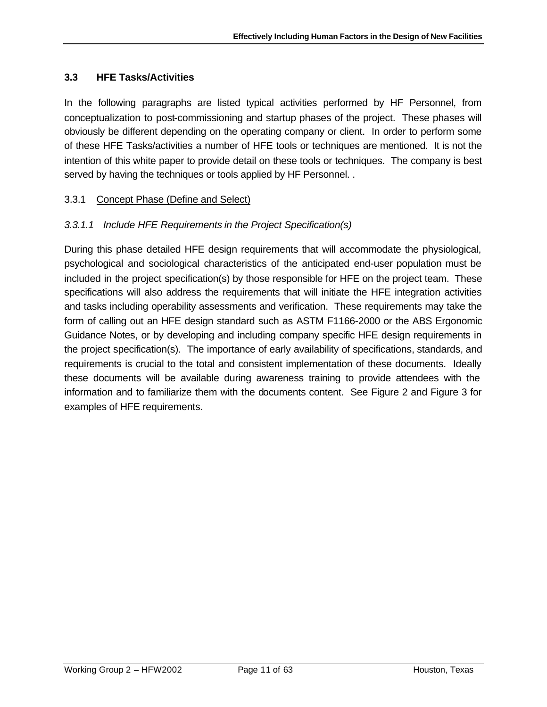### **3.3 HFE Tasks/Activities**

In the following paragraphs are listed typical activities performed by HF Personnel, from conceptualization to post-commissioning and startup phases of the project. These phases will obviously be different depending on the operating company or client. In order to perform some of these HFE Tasks/activities a number of HFE tools or techniques are mentioned. It is not the intention of this white paper to provide detail on these tools or techniques. The company is best served by having the techniques or tools applied by HF Personnel. .

### 3.3.1 Concept Phase (Define and Select)

### *3.3.1.1 Include HFE Requirements in the Project Specification(s)*

During this phase detailed HFE design requirements that will accommodate the physiological, psychological and sociological characteristics of the anticipated end-user population must be included in the project specification(s) by those responsible for HFE on the project team. These specifications will also address the requirements that will initiate the HFE integration activities and tasks including operability assessments and verification. These requirements may take the form of calling out an HFE design standard such as ASTM F1166-2000 or the ABS Ergonomic Guidance Notes, or by developing and including company specific HFE design requirements in the project specification(s). The importance of early availability of specifications, standards, and requirements is crucial to the total and consistent implementation of these documents. Ideally these documents will be available during awareness training to provide attendees with the information and to familiarize them with the documents content. See Figure 2 and Figure 3 for examples of HFE requirements.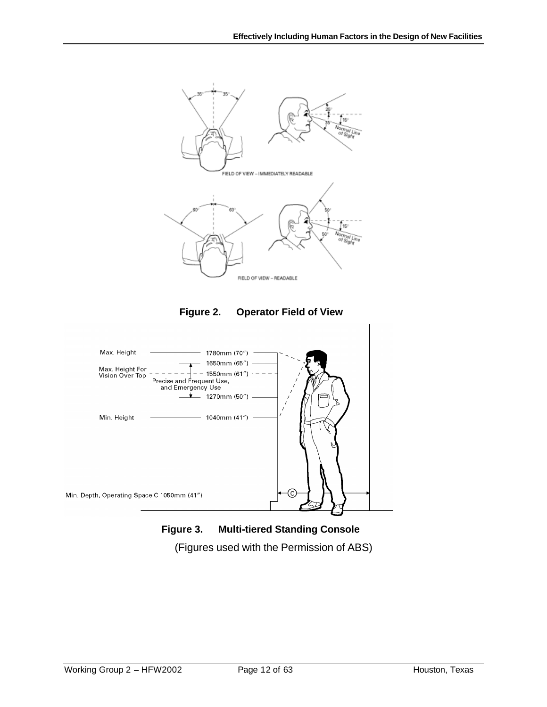

**Figure 3. Multi-tiered Standing Console** (Figures used with the Permission of ABS)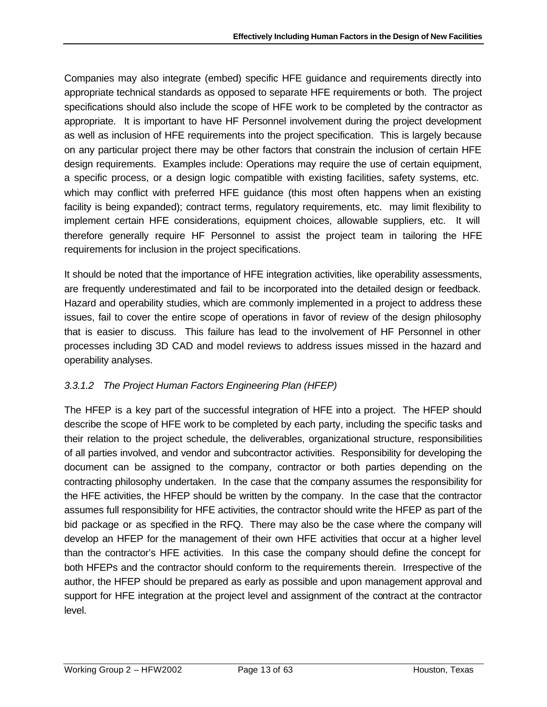Companies may also integrate (embed) specific HFE guidance and requirements directly into appropriate technical standards as opposed to separate HFE requirements or both. The project specifications should also include the scope of HFE work to be completed by the contractor as appropriate. It is important to have HF Personnel involvement during the project development as well as inclusion of HFE requirements into the project specification. This is largely because on any particular project there may be other factors that constrain the inclusion of certain HFE design requirements. Examples include: Operations may require the use of certain equipment, a specific process, or a design logic compatible with existing facilities, safety systems, etc. which may conflict with preferred HFE guidance (this most often happens when an existing facility is being expanded); contract terms, regulatory requirements, etc. may limit flexibility to implement certain HFE considerations, equipment choices, allowable suppliers, etc. It will therefore generally require HF Personnel to assist the project team in tailoring the HFE requirements for inclusion in the project specifications.

It should be noted that the importance of HFE integration activities, like operability assessments, are frequently underestimated and fail to be incorporated into the detailed design or feedback. Hazard and operability studies, which are commonly implemented in a project to address these issues, fail to cover the entire scope of operations in favor of review of the design philosophy that is easier to discuss. This failure has lead to the involvement of HF Personnel in other processes including 3D CAD and model reviews to address issues missed in the hazard and operability analyses.

# *3.3.1.2 The Project Human Factors Engineering Plan (HFEP)*

The HFEP is a key part of the successful integration of HFE into a project. The HFEP should describe the scope of HFE work to be completed by each party, including the specific tasks and their relation to the project schedule, the deliverables, organizational structure, responsibilities of all parties involved, and vendor and subcontractor activities. Responsibility for developing the document can be assigned to the company, contractor or both parties depending on the contracting philosophy undertaken. In the case that the company assumes the responsibility for the HFE activities, the HFEP should be written by the company. In the case that the contractor assumes full responsibility for HFE activities, the contractor should write the HFEP as part of the bid package or as specified in the RFQ. There may also be the case where the company will develop an HFEP for the management of their own HFE activities that occur at a higher level than the contractor's HFE activities. In this case the company should define the concept for both HFEPs and the contractor should conform to the requirements therein. Irrespective of the author, the HFEP should be prepared as early as possible and upon management approval and support for HFE integration at the project level and assignment of the contract at the contractor level.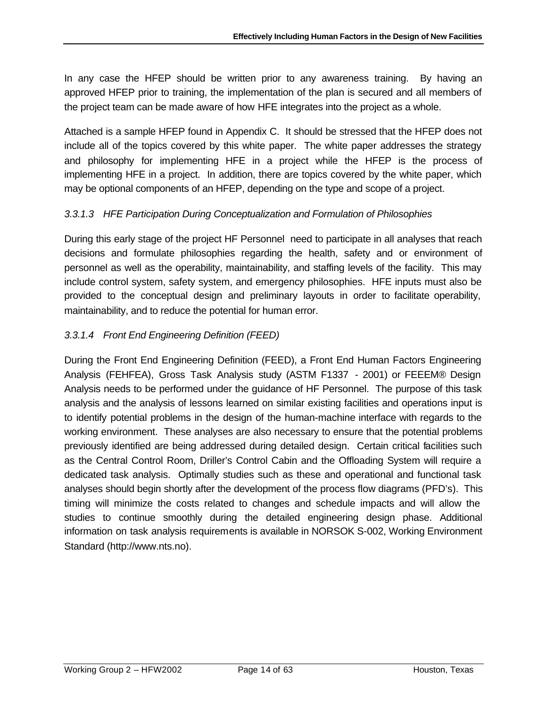In any case the HFEP should be written prior to any awareness training. By having an approved HFEP prior to training, the implementation of the plan is secured and all members of the project team can be made aware of how HFE integrates into the project as a whole.

Attached is a sample HFEP found in Appendix C. It should be stressed that the HFEP does not include all of the topics covered by this white paper. The white paper addresses the strategy and philosophy for implementing HFE in a project while the HFEP is the process of implementing HFE in a project. In addition, there are topics covered by the white paper, which may be optional components of an HFEP, depending on the type and scope of a project.

# *3.3.1.3 HFE Participation During Conceptualization and Formulation of Philosophies*

During this early stage of the project HF Personnel need to participate in all analyses that reach decisions and formulate philosophies regarding the health, safety and or environment of personnel as well as the operability, maintainability, and staffing levels of the facility. This may include control system, safety system, and emergency philosophies. HFE inputs must also be provided to the conceptual design and preliminary layouts in order to facilitate operability, maintainability, and to reduce the potential for human error.

# *3.3.1.4 Front End Engineering Definition (FEED)*

During the Front End Engineering Definition (FEED), a Front End Human Factors Engineering Analysis (FEHFEA), Gross Task Analysis study (ASTM F1337 - 2001) or FEEEM® Design Analysis needs to be performed under the guidance of HF Personnel. The purpose of this task analysis and the analysis of lessons learned on similar existing facilities and operations input is to identify potential problems in the design of the human-machine interface with regards to the working environment. These analyses are also necessary to ensure that the potential problems previously identified are being addressed during detailed design. Certain critical facilities such as the Central Control Room, Driller's Control Cabin and the Offloading System will require a dedicated task analysis. Optimally studies such as these and operational and functional task analyses should begin shortly after the development of the process flow diagrams (PFD's). This timing will minimize the costs related to changes and schedule impacts and will allow the studies to continue smoothly during the detailed engineering design phase. Additional information on task analysis requirements is available in NORSOK S-002, Working Environment Standard (http://www.nts.no).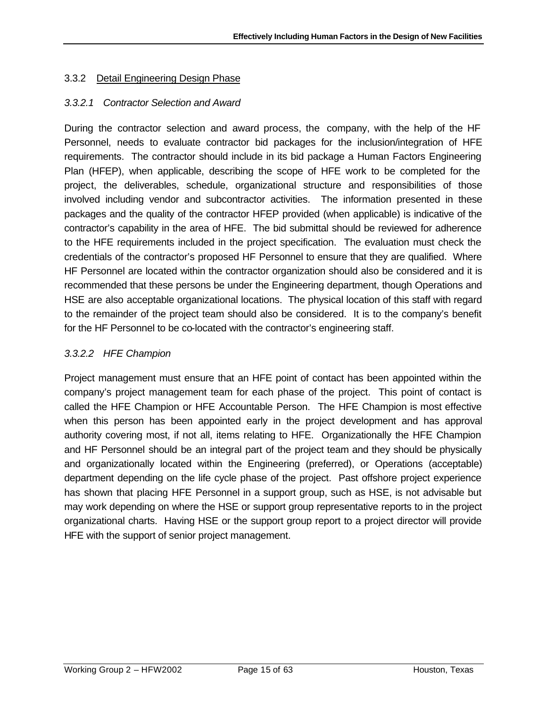### 3.3.2 Detail Engineering Design Phase

#### *3.3.2.1 Contractor Selection and Award*

During the contractor selection and award process, the company, with the help of the HF Personnel, needs to evaluate contractor bid packages for the inclusion/integration of HFE requirements. The contractor should include in its bid package a Human Factors Engineering Plan (HFEP), when applicable, describing the scope of HFE work to be completed for the project, the deliverables, schedule, organizational structure and responsibilities of those involved including vendor and subcontractor activities. The information presented in these packages and the quality of the contractor HFEP provided (when applicable) is indicative of the contractor's capability in the area of HFE. The bid submittal should be reviewed for adherence to the HFE requirements included in the project specification. The evaluation must check the credentials of the contractor's proposed HF Personnel to ensure that they are qualified. Where HF Personnel are located within the contractor organization should also be considered and it is recommended that these persons be under the Engineering department, though Operations and HSE are also acceptable organizational locations. The physical location of this staff with regard to the remainder of the project team should also be considered. It is to the company's benefit for the HF Personnel to be co-located with the contractor's engineering staff.

### *3.3.2.2 HFE Champion*

Project management must ensure that an HFE point of contact has been appointed within the company's project management team for each phase of the project. This point of contact is called the HFE Champion or HFE Accountable Person. The HFE Champion is most effective when this person has been appointed early in the project development and has approval authority covering most, if not all, items relating to HFE. Organizationally the HFE Champion and HF Personnel should be an integral part of the project team and they should be physically and organizationally located within the Engineering (preferred), or Operations (acceptable) department depending on the life cycle phase of the project. Past offshore project experience has shown that placing HFE Personnel in a support group, such as HSE, is not advisable but may work depending on where the HSE or support group representative reports to in the project organizational charts. Having HSE or the support group report to a project director will provide HFE with the support of senior project management.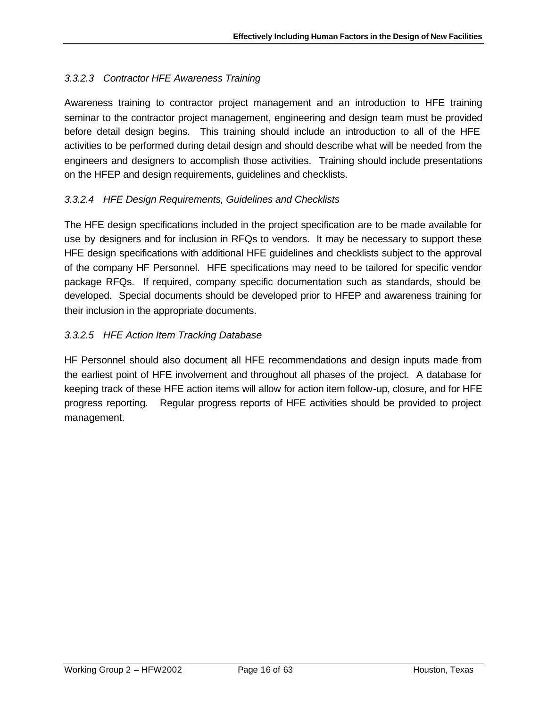# *3.3.2.3 Contractor HFE Awareness Training*

Awareness training to contractor project management and an introduction to HFE training seminar to the contractor project management, engineering and design team must be provided before detail design begins. This training should include an introduction to all of the HFE activities to be performed during detail design and should describe what will be needed from the engineers and designers to accomplish those activities. Training should include presentations on the HFEP and design requirements, guidelines and checklists.

# *3.3.2.4 HFE Design Requirements, Guidelines and Checklists*

The HFE design specifications included in the project specification are to be made available for use by designers and for inclusion in RFQs to vendors. It may be necessary to support these HFE design specifications with additional HFE guidelines and checklists subject to the approval of the company HF Personnel. HFE specifications may need to be tailored for specific vendor package RFQs. If required, company specific documentation such as standards, should be developed. Special documents should be developed prior to HFEP and awareness training for their inclusion in the appropriate documents.

# *3.3.2.5 HFE Action Item Tracking Database*

HF Personnel should also document all HFE recommendations and design inputs made from the earliest point of HFE involvement and throughout all phases of the project. A database for keeping track of these HFE action items will allow for action item follow-up, closure, and for HFE progress reporting. Regular progress reports of HFE activities should be provided to project management.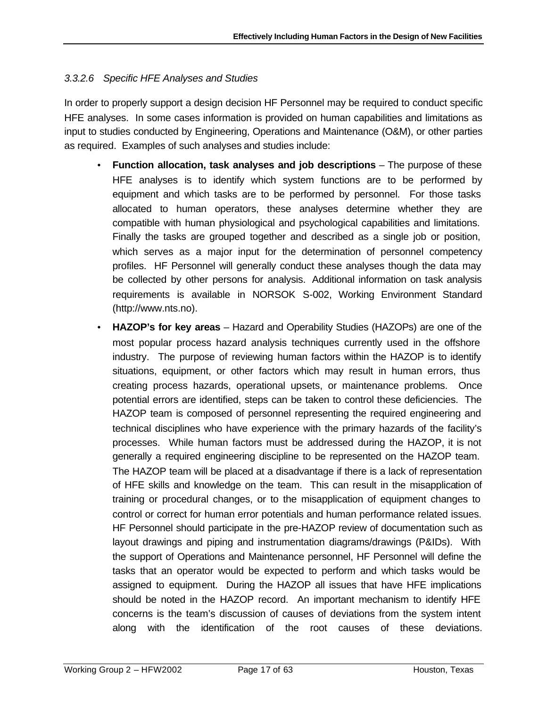### *3.3.2.6 Specific HFE Analyses and Studies*

In order to properly support a design decision HF Personnel may be required to conduct specific HFE analyses. In some cases information is provided on human capabilities and limitations as input to studies conducted by Engineering, Operations and Maintenance (O&M), or other parties as required. Examples of such analyses and studies include:

- **Function allocation, task analyses and job descriptions** The purpose of these HFE analyses is to identify which system functions are to be performed by equipment and which tasks are to be performed by personnel. For those tasks allocated to human operators, these analyses determine whether they are compatible with human physiological and psychological capabilities and limitations. Finally the tasks are grouped together and described as a single job or position, which serves as a major input for the determination of personnel competency profiles. HF Personnel will generally conduct these analyses though the data may be collected by other persons for analysis. Additional information on task analysis requirements is available in NORSOK S-002, Working Environment Standard (http://www.nts.no).
- **HAZOP's for key areas** Hazard and Operability Studies (HAZOPs) are one of the most popular process hazard analysis techniques currently used in the offshore industry. The purpose of reviewing human factors within the HAZOP is to identify situations, equipment, or other factors which may result in human errors, thus creating process hazards, operational upsets, or maintenance problems. Once potential errors are identified, steps can be taken to control these deficiencies. The HAZOP team is composed of personnel representing the required engineering and technical disciplines who have experience with the primary hazards of the facility's processes. While human factors must be addressed during the HAZOP, it is not generally a required engineering discipline to be represented on the HAZOP team. The HAZOP team will be placed at a disadvantage if there is a lack of representation of HFE skills and knowledge on the team. This can result in the misapplication of training or procedural changes, or to the misapplication of equipment changes to control or correct for human error potentials and human performance related issues. HF Personnel should participate in the pre-HAZOP review of documentation such as layout drawings and piping and instrumentation diagrams/drawings (P&IDs). With the support of Operations and Maintenance personnel, HF Personnel will define the tasks that an operator would be expected to perform and which tasks would be assigned to equipment. During the HAZOP all issues that have HFE implications should be noted in the HAZOP record. An important mechanism to identify HFE concerns is the team's discussion of causes of deviations from the system intent along with the identification of the root causes of these deviations.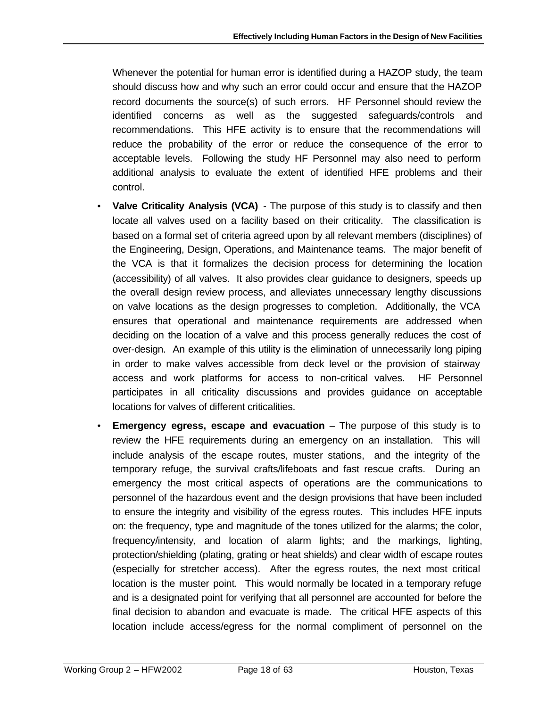Whenever the potential for human error is identified during a HAZOP study, the team should discuss how and why such an error could occur and ensure that the HAZOP record documents the source(s) of such errors. HF Personnel should review the identified concerns as well as the suggested safeguards/controls and recommendations. This HFE activity is to ensure that the recommendations will reduce the probability of the error or reduce the consequence of the error to acceptable levels. Following the study HF Personnel may also need to perform additional analysis to evaluate the extent of identified HFE problems and their control.

- **Valve Criticality Analysis (VCA)** The purpose of this study is to classify and then locate all valves used on a facility based on their criticality. The classification is based on a formal set of criteria agreed upon by all relevant members (disciplines) of the Engineering, Design, Operations, and Maintenance teams. The major benefit of the VCA is that it formalizes the decision process for determining the location (accessibility) of all valves. It also provides clear guidance to designers, speeds up the overall design review process, and alleviates unnecessary lengthy discussions on valve locations as the design progresses to completion. Additionally, the VCA ensures that operational and maintenance requirements are addressed when deciding on the location of a valve and this process generally reduces the cost of over-design. An example of this utility is the elimination of unnecessarily long piping in order to make valves accessible from deck level or the provision of stairway access and work platforms for access to non-critical valves. HF Personnel participates in all criticality discussions and provides guidance on acceptable locations for valves of different criticalities.
- **Emergency egress, escape and evacuation** The purpose of this study is to review the HFE requirements during an emergency on an installation. This will include analysis of the escape routes, muster stations, and the integrity of the temporary refuge, the survival crafts/lifeboats and fast rescue crafts. During an emergency the most critical aspects of operations are the communications to personnel of the hazardous event and the design provisions that have been included to ensure the integrity and visibility of the egress routes. This includes HFE inputs on: the frequency, type and magnitude of the tones utilized for the alarms; the color, frequency/intensity, and location of alarm lights; and the markings, lighting, protection/shielding (plating, grating or heat shields) and clear width of escape routes (especially for stretcher access). After the egress routes, the next most critical location is the muster point. This would normally be located in a temporary refuge and is a designated point for verifying that all personnel are accounted for before the final decision to abandon and evacuate is made. The critical HFE aspects of this location include access/egress for the normal compliment of personnel on the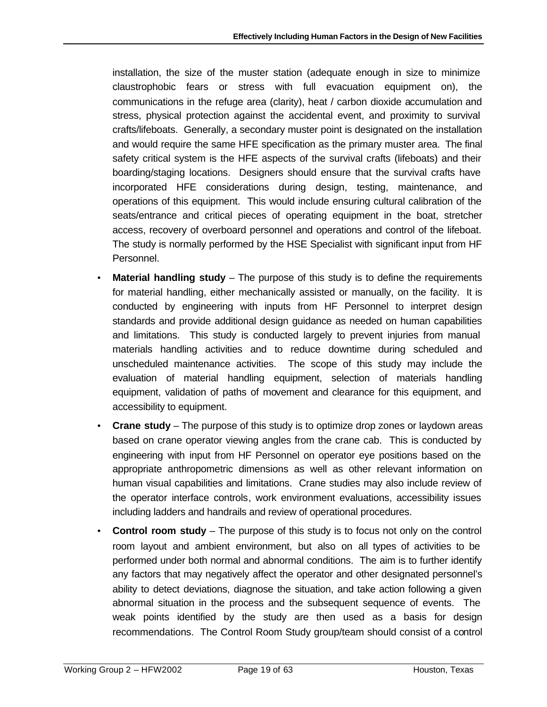installation, the size of the muster station (adequate enough in size to minimize claustrophobic fears or stress with full evacuation equipment on), the communications in the refuge area (clarity), heat / carbon dioxide accumulation and stress, physical protection against the accidental event, and proximity to survival crafts/lifeboats. Generally, a secondary muster point is designated on the installation and would require the same HFE specification as the primary muster area. The final safety critical system is the HFE aspects of the survival crafts (lifeboats) and their boarding/staging locations. Designers should ensure that the survival crafts have incorporated HFE considerations during design, testing, maintenance, and operations of this equipment. This would include ensuring cultural calibration of the seats/entrance and critical pieces of operating equipment in the boat, stretcher access, recovery of overboard personnel and operations and control of the lifeboat. The study is normally performed by the HSE Specialist with significant input from HF Personnel.

- **Material handling study** The purpose of this study is to define the requirements for material handling, either mechanically assisted or manually, on the facility. It is conducted by engineering with inputs from HF Personnel to interpret design standards and provide additional design guidance as needed on human capabilities and limitations. This study is conducted largely to prevent injuries from manual materials handling activities and to reduce downtime during scheduled and unscheduled maintenance activities. The scope of this study may include the evaluation of material handling equipment, selection of materials handling equipment, validation of paths of movement and clearance for this equipment, and accessibility to equipment.
- **Crane study** The purpose of this study is to optimize drop zones or laydown areas based on crane operator viewing angles from the crane cab. This is conducted by engineering with input from HF Personnel on operator eye positions based on the appropriate anthropometric dimensions as well as other relevant information on human visual capabilities and limitations. Crane studies may also include review of the operator interface controls, work environment evaluations, accessibility issues including ladders and handrails and review of operational procedures.
- **Control room study** The purpose of this study is to focus not only on the control room layout and ambient environment, but also on all types of activities to be performed under both normal and abnormal conditions. The aim is to further identify any factors that may negatively affect the operator and other designated personnel's ability to detect deviations, diagnose the situation, and take action following a given abnormal situation in the process and the subsequent sequence of events. The weak points identified by the study are then used as a basis for design recommendations. The Control Room Study group/team should consist of a control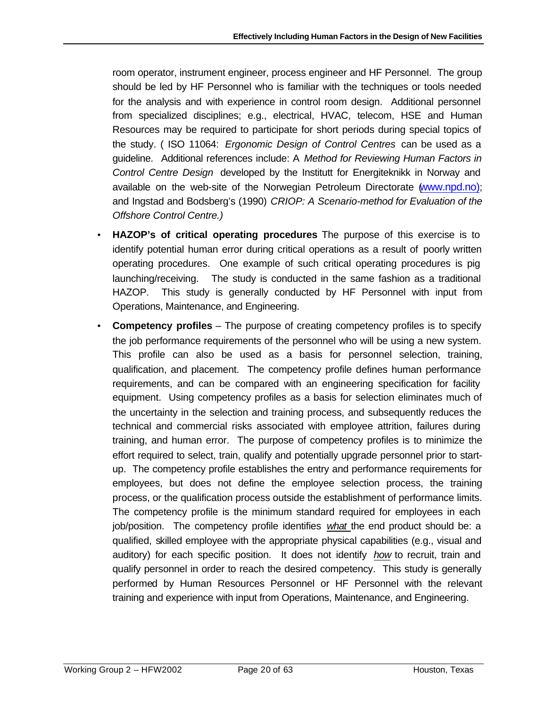room operator, instrument engineer, process engineer and HF Personnel. The group should be led by HF Personnel who is familiar with the techniques or tools needed for the analysis and with experience in control room design. Additional personnel from specialized disciplines; e.g., electrical, HVAC, telecom, HSE and Human Resources may be required to participate for short periods during special topics of the study. ( ISO 11064: *Ergonomic Design of Control Centres* can be used as a guideline. Additional references include: A *Method for Reviewing Human Factors in Control Centre Design* developed by the Institutt for Energiteknikk in Norway and available on the web-site of the Norwegian Petroleum Directorate (www.npd.no); and Ingstad and Bodsberg's (1990) *CRIOP: A Scenario-method for Evaluation of the Offshore Control Centre.)*

- **HAZOP's of critical operating procedures** The purpose of this exercise is to identify potential human error during critical operations as a result of poorly written operating procedures. One example of such critical operating procedures is pig launching/receiving. The study is conducted in the same fashion as a traditional HAZOP. This study is generally conducted by HF Personnel with input from Operations, Maintenance, and Engineering.
- **Competency profiles** The purpose of creating competency profiles is to specify the job performance requirements of the personnel who will be using a new system. This profile can also be used as a basis for personnel selection, training, qualification, and placement. The competency profile defines human performance requirements, and can be compared with an engineering specification for facility equipment. Using competency profiles as a basis for selection eliminates much of the uncertainty in the selection and training process, and subsequently reduces the technical and commercial risks associated with employee attrition, failures during training, and human error. The purpose of competency profiles is to minimize the effort required to select, train, qualify and potentially upgrade personnel prior to startup. The competency profile establishes the entry and performance requirements for employees, but does not define the employee selection process, the training process, or the qualification process outside the establishment of performance limits. The competency profile is the minimum standard required for employees in each job/position. The competency profile identifies *what* the end product should be: a qualified, skilled employee with the appropriate physical capabilities (e.g., visual and auditory) for each specific position. It does not identify *how* to recruit, train and qualify personnel in order to reach the desired competency. This study is generally performed by Human Resources Personnel or HF Personnel with the relevant training and experience with input from Operations, Maintenance, and Engineering.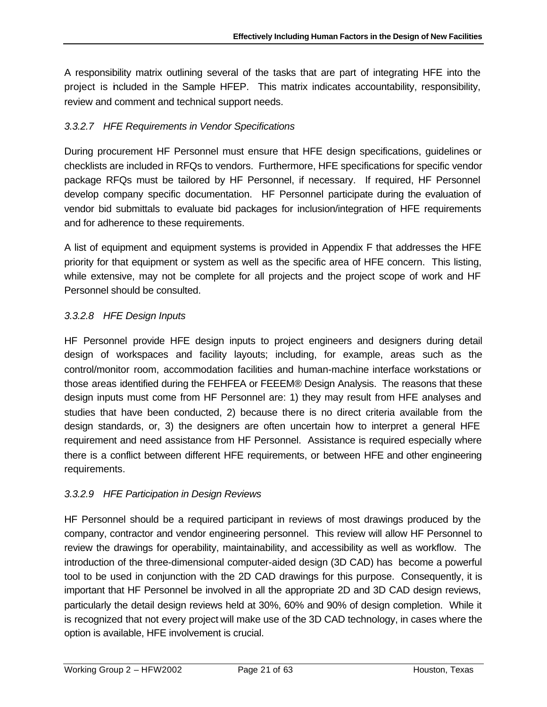A responsibility matrix outlining several of the tasks that are part of integrating HFE into the project is included in the Sample HFEP. This matrix indicates accountability, responsibility, review and comment and technical support needs.

# *3.3.2.7 HFE Requirements in Vendor Specifications*

During procurement HF Personnel must ensure that HFE design specifications, guidelines or checklists are included in RFQs to vendors. Furthermore, HFE specifications for specific vendor package RFQs must be tailored by HF Personnel, if necessary. If required, HF Personnel develop company specific documentation. HF Personnel participate during the evaluation of vendor bid submittals to evaluate bid packages for inclusion/integration of HFE requirements and for adherence to these requirements.

A list of equipment and equipment systems is provided in Appendix F that addresses the HFE priority for that equipment or system as well as the specific area of HFE concern. This listing, while extensive, may not be complete for all projects and the project scope of work and HF Personnel should be consulted.

# *3.3.2.8 HFE Design Inputs*

HF Personnel provide HFE design inputs to project engineers and designers during detail design of workspaces and facility layouts; including, for example, areas such as the control/monitor room, accommodation facilities and human-machine interface workstations or those areas identified during the FEHFEA or FEEEM® Design Analysis. The reasons that these design inputs must come from HF Personnel are: 1) they may result from HFE analyses and studies that have been conducted, 2) because there is no direct criteria available from the design standards, or, 3) the designers are often uncertain how to interpret a general HFE requirement and need assistance from HF Personnel. Assistance is required especially where there is a conflict between different HFE requirements, or between HFE and other engineering requirements.

# *3.3.2.9 HFE Participation in Design Reviews*

HF Personnel should be a required participant in reviews of most drawings produced by the company, contractor and vendor engineering personnel. This review will allow HF Personnel to review the drawings for operability, maintainability, and accessibility as well as workflow. The introduction of the three-dimensional computer-aided design (3D CAD) has become a powerful tool to be used in conjunction with the 2D CAD drawings for this purpose. Consequently, it is important that HF Personnel be involved in all the appropriate 2D and 3D CAD design reviews, particularly the detail design reviews held at 30%, 60% and 90% of design completion. While it is recognized that not every project will make use of the 3D CAD technology, in cases where the option is available, HFE involvement is crucial.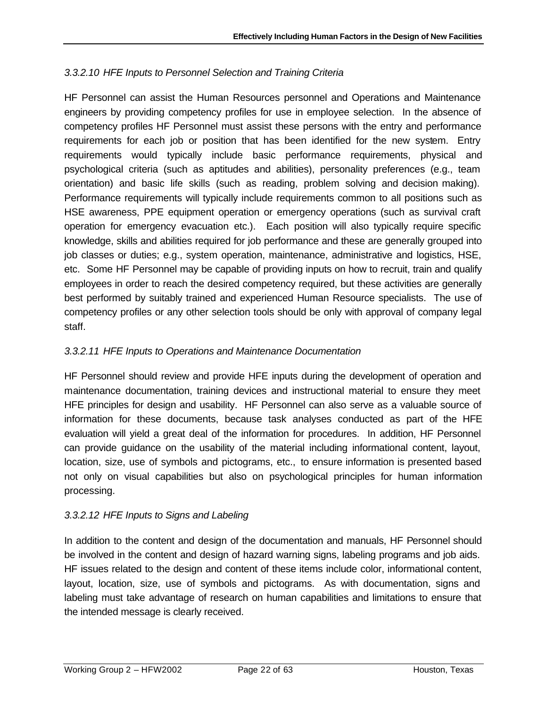# *3.3.2.10 HFE Inputs to Personnel Selection and Training Criteria*

HF Personnel can assist the Human Resources personnel and Operations and Maintenance engineers by providing competency profiles for use in employee selection. In the absence of competency profiles HF Personnel must assist these persons with the entry and performance requirements for each job or position that has been identified for the new system. Entry requirements would typically include basic performance requirements, physical and psychological criteria (such as aptitudes and abilities), personality preferences (e.g., team orientation) and basic life skills (such as reading, problem solving and decision making). Performance requirements will typically include requirements common to all positions such as HSE awareness, PPE equipment operation or emergency operations (such as survival craft operation for emergency evacuation etc.). Each position will also typically require specific knowledge, skills and abilities required for job performance and these are generally grouped into job classes or duties; e.g., system operation, maintenance, administrative and logistics, HSE, etc. Some HF Personnel may be capable of providing inputs on how to recruit, train and qualify employees in order to reach the desired competency required, but these activities are generally best performed by suitably trained and experienced Human Resource specialists. The use of competency profiles or any other selection tools should be only with approval of company legal staff.

# *3.3.2.11 HFE Inputs to Operations and Maintenance Documentation*

HF Personnel should review and provide HFE inputs during the development of operation and maintenance documentation, training devices and instructional material to ensure they meet HFE principles for design and usability. HF Personnel can also serve as a valuable source of information for these documents, because task analyses conducted as part of the HFE evaluation will yield a great deal of the information for procedures. In addition, HF Personnel can provide guidance on the usability of the material including informational content, layout, location, size, use of symbols and pictograms, etc., to ensure information is presented based not only on visual capabilities but also on psychological principles for human information processing.

# *3.3.2.12 HFE Inputs to Signs and Labeling*

In addition to the content and design of the documentation and manuals, HF Personnel should be involved in the content and design of hazard warning signs, labeling programs and job aids. HF issues related to the design and content of these items include color, informational content, layout, location, size, use of symbols and pictograms. As with documentation, signs and labeling must take advantage of research on human capabilities and limitations to ensure that the intended message is clearly received.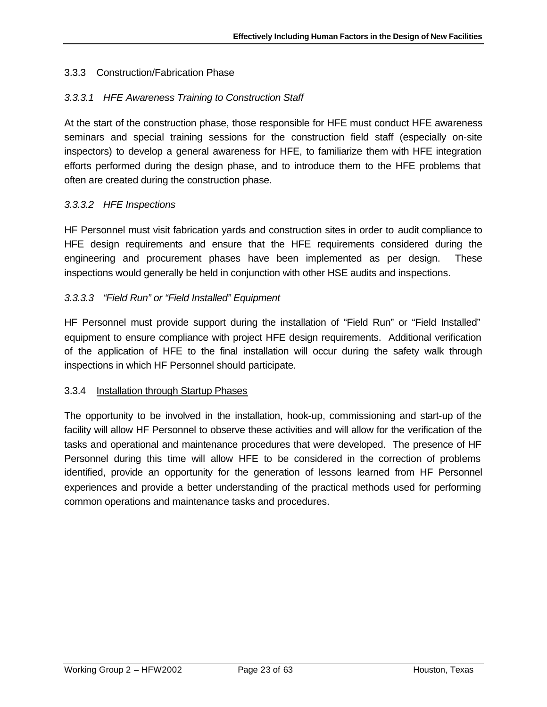### 3.3.3 Construction/Fabrication Phase

### *3.3.3.1 HFE Awareness Training to Construction Staff*

At the start of the construction phase, those responsible for HFE must conduct HFE awareness seminars and special training sessions for the construction field staff (especially on-site inspectors) to develop a general awareness for HFE, to familiarize them with HFE integration efforts performed during the design phase, and to introduce them to the HFE problems that often are created during the construction phase.

#### *3.3.3.2 HFE Inspections*

HF Personnel must visit fabrication yards and construction sites in order to audit compliance to HFE design requirements and ensure that the HFE requirements considered during the engineering and procurement phases have been implemented as per design. These inspections would generally be held in conjunction with other HSE audits and inspections.

#### *3.3.3.3 "Field Run" or "Field Installed" Equipment*

HF Personnel must provide support during the installation of "Field Run" or "Field Installed" equipment to ensure compliance with project HFE design requirements. Additional verification of the application of HFE to the final installation will occur during the safety walk through inspections in which HF Personnel should participate.

#### 3.3.4 Installation through Startup Phases

The opportunity to be involved in the installation, hook-up, commissioning and start-up of the facility will allow HF Personnel to observe these activities and will allow for the verification of the tasks and operational and maintenance procedures that were developed. The presence of HF Personnel during this time will allow HFE to be considered in the correction of problems identified, provide an opportunity for the generation of lessons learned from HF Personnel experiences and provide a better understanding of the practical methods used for performing common operations and maintenance tasks and procedures.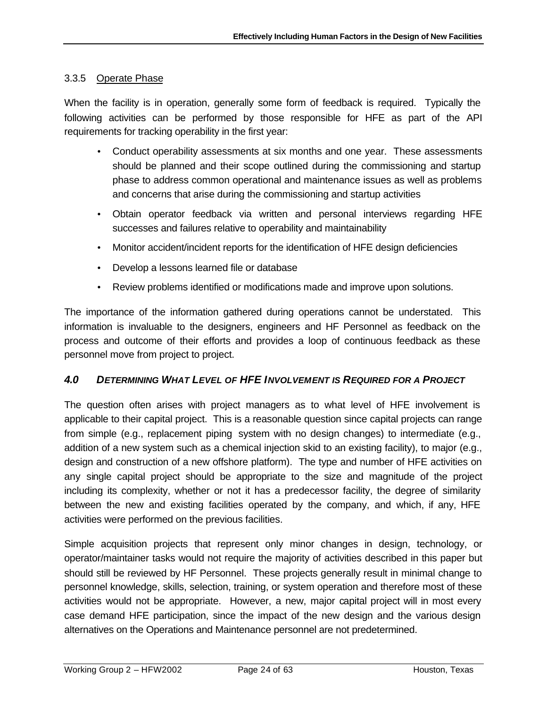### 3.3.5 Operate Phase

When the facility is in operation, generally some form of feedback is required. Typically the following activities can be performed by those responsible for HFE as part of the API requirements for tracking operability in the first year:

- Conduct operability assessments at six months and one year. These assessments should be planned and their scope outlined during the commissioning and startup phase to address common operational and maintenance issues as well as problems and concerns that arise during the commissioning and startup activities
- Obtain operator feedback via written and personal interviews regarding HFE successes and failures relative to operability and maintainability
- Monitor accident/incident reports for the identification of HFE design deficiencies
- Develop a lessons learned file or database
- Review problems identified or modifications made and improve upon solutions.

The importance of the information gathered during operations cannot be understated. This information is invaluable to the designers, engineers and HF Personnel as feedback on the process and outcome of their efforts and provides a loop of continuous feedback as these personnel move from project to project.

# *4.0 DETERMINING WHAT LEVEL OF HFE INVOLVEMENT IS REQUIRED FOR A PROJECT*

The question often arises with project managers as to what level of HFE involvement is applicable to their capital project. This is a reasonable question since capital projects can range from simple (e.g., replacement piping system with no design changes) to intermediate (e.g., addition of a new system such as a chemical injection skid to an existing facility), to major (e.g., design and construction of a new offshore platform). The type and number of HFE activities on any single capital project should be appropriate to the size and magnitude of the project including its complexity, whether or not it has a predecessor facility, the degree of similarity between the new and existing facilities operated by the company, and which, if any, HFE activities were performed on the previous facilities.

Simple acquisition projects that represent only minor changes in design, technology, or operator/maintainer tasks would not require the majority of activities described in this paper but should still be reviewed by HF Personnel. These projects generally result in minimal change to personnel knowledge, skills, selection, training, or system operation and therefore most of these activities would not be appropriate. However, a new, major capital project will in most every case demand HFE participation, since the impact of the new design and the various design alternatives on the Operations and Maintenance personnel are not predetermined.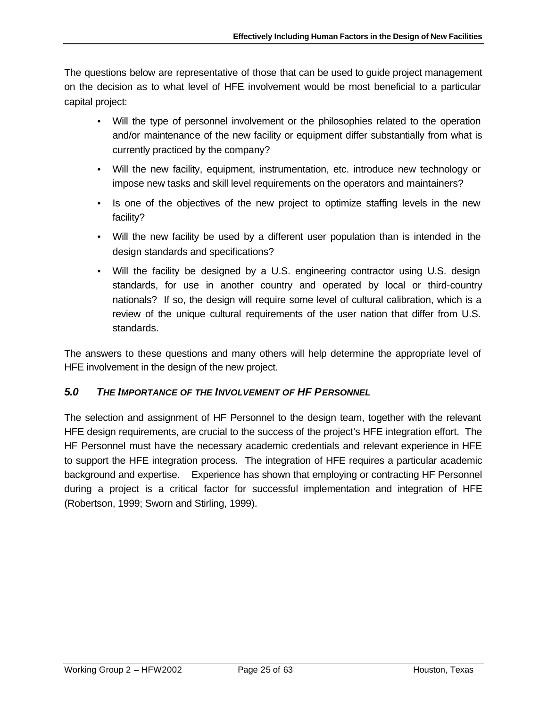The questions below are representative of those that can be used to guide project management on the decision as to what level of HFE involvement would be most beneficial to a particular capital project:

- Will the type of personnel involvement or the philosophies related to the operation and/or maintenance of the new facility or equipment differ substantially from what is currently practiced by the company?
- Will the new facility, equipment, instrumentation, etc. introduce new technology or impose new tasks and skill level requirements on the operators and maintainers?
- Is one of the objectives of the new project to optimize staffing levels in the new facility?
- Will the new facility be used by a different user population than is intended in the design standards and specifications?
- Will the facility be designed by a U.S. engineering contractor using U.S. design standards, for use in another country and operated by local or third-country nationals? If so, the design will require some level of cultural calibration, which is a review of the unique cultural requirements of the user nation that differ from U.S. standards.

The answers to these questions and many others will help determine the appropriate level of HFE involvement in the design of the new project.

# *5.0 THE IMPORTANCE OF THE INVOLVEMENT OF HF PERSONNEL*

The selection and assignment of HF Personnel to the design team, together with the relevant HFE design requirements, are crucial to the success of the project's HFE integration effort. The HF Personnel must have the necessary academic credentials and relevant experience in HFE to support the HFE integration process. The integration of HFE requires a particular academic background and expertise. Experience has shown that employing or contracting HF Personnel during a project is a critical factor for successful implementation and integration of HFE (Robertson, 1999; Sworn and Stirling, 1999).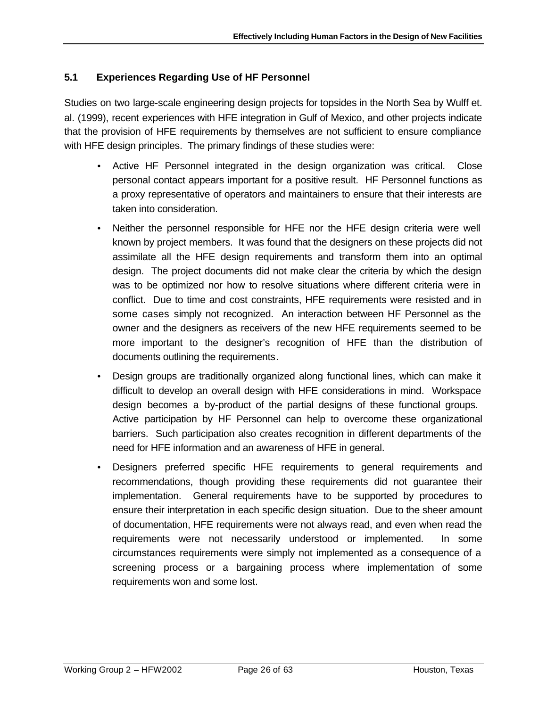### **5.1 Experiences Regarding Use of HF Personnel**

Studies on two large-scale engineering design projects for topsides in the North Sea by Wulff et. al. (1999), recent experiences with HFE integration in Gulf of Mexico, and other projects indicate that the provision of HFE requirements by themselves are not sufficient to ensure compliance with HFE design principles. The primary findings of these studies were:

- Active HF Personnel integrated in the design organization was critical. Close personal contact appears important for a positive result. HF Personnel functions as a proxy representative of operators and maintainers to ensure that their interests are taken into consideration.
- Neither the personnel responsible for HFE nor the HFE design criteria were well known by project members. It was found that the designers on these projects did not assimilate all the HFE design requirements and transform them into an optimal design. The project documents did not make clear the criteria by which the design was to be optimized nor how to resolve situations where different criteria were in conflict. Due to time and cost constraints, HFE requirements were resisted and in some cases simply not recognized. An interaction between HF Personnel as the owner and the designers as receivers of the new HFE requirements seemed to be more important to the designer's recognition of HFE than the distribution of documents outlining the requirements.
- Design groups are traditionally organized along functional lines, which can make it difficult to develop an overall design with HFE considerations in mind. Workspace design becomes a by-product of the partial designs of these functional groups. Active participation by HF Personnel can help to overcome these organizational barriers. Such participation also creates recognition in different departments of the need for HFE information and an awareness of HFE in general.
- Designers preferred specific HFE requirements to general requirements and recommendations, though providing these requirements did not guarantee their implementation. General requirements have to be supported by procedures to ensure their interpretation in each specific design situation. Due to the sheer amount of documentation, HFE requirements were not always read, and even when read the requirements were not necessarily understood or implemented. In some circumstances requirements were simply not implemented as a consequence of a screening process or a bargaining process where implementation of some requirements won and some lost.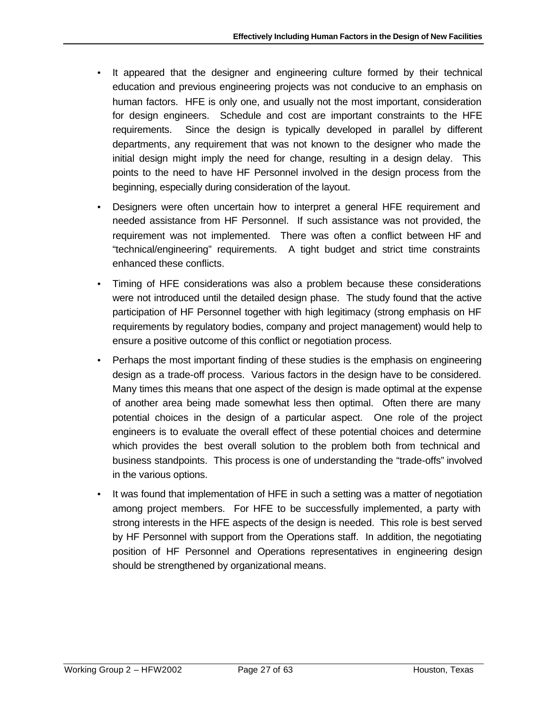- It appeared that the designer and engineering culture formed by their technical education and previous engineering projects was not conducive to an emphasis on human factors. HFE is only one, and usually not the most important, consideration for design engineers. Schedule and cost are important constraints to the HFE requirements. Since the design is typically developed in parallel by different departments, any requirement that was not known to the designer who made the initial design might imply the need for change, resulting in a design delay. This points to the need to have HF Personnel involved in the design process from the beginning, especially during consideration of the layout.
- Designers were often uncertain how to interpret a general HFE requirement and needed assistance from HF Personnel. If such assistance was not provided, the requirement was not implemented. There was often a conflict between HF and "technical/engineering" requirements. A tight budget and strict time constraints enhanced these conflicts.
- Timing of HFE considerations was also a problem because these considerations were not introduced until the detailed design phase. The study found that the active participation of HF Personnel together with high legitimacy (strong emphasis on HF requirements by regulatory bodies, company and project management) would help to ensure a positive outcome of this conflict or negotiation process.
- Perhaps the most important finding of these studies is the emphasis on engineering design as a trade-off process. Various factors in the design have to be considered. Many times this means that one aspect of the design is made optimal at the expense of another area being made somewhat less then optimal. Often there are many potential choices in the design of a particular aspect. One role of the project engineers is to evaluate the overall effect of these potential choices and determine which provides the best overall solution to the problem both from technical and business standpoints. This process is one of understanding the "trade-offs" involved in the various options.
- It was found that implementation of HFE in such a setting was a matter of negotiation among project members. For HFE to be successfully implemented, a party with strong interests in the HFE aspects of the design is needed. This role is best served by HF Personnel with support from the Operations staff. In addition, the negotiating position of HF Personnel and Operations representatives in engineering design should be strengthened by organizational means.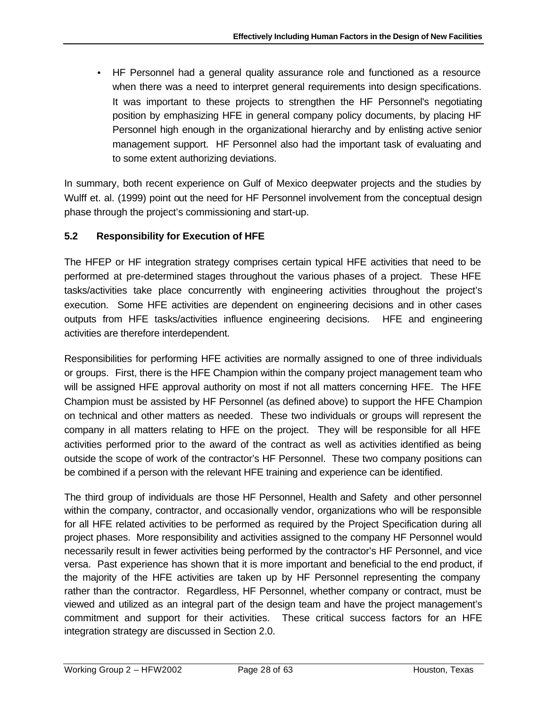• HF Personnel had a general quality assurance role and functioned as a resource when there was a need to interpret general requirements into design specifications. It was important to these projects to strengthen the HF Personnel's negotiating position by emphasizing HFE in general company policy documents, by placing HF Personnel high enough in the organizational hierarchy and by enlisting active senior management support. HF Personnel also had the important task of evaluating and to some extent authorizing deviations.

In summary, both recent experience on Gulf of Mexico deepwater projects and the studies by Wulff et. al. (1999) point out the need for HF Personnel involvement from the conceptual design phase through the project's commissioning and start-up.

# **5.2 Responsibility for Execution of HFE**

The HFEP or HF integration strategy comprises certain typical HFE activities that need to be performed at pre-determined stages throughout the various phases of a project. These HFE tasks/activities take place concurrently with engineering activities throughout the project's execution. Some HFE activities are dependent on engineering decisions and in other cases outputs from HFE tasks/activities influence engineering decisions. HFE and engineering activities are therefore interdependent.

Responsibilities for performing HFE activities are normally assigned to one of three individuals or groups. First, there is the HFE Champion within the company project management team who will be assigned HFE approval authority on most if not all matters concerning HFE. The HFE Champion must be assisted by HF Personnel (as defined above) to support the HFE Champion on technical and other matters as needed. These two individuals or groups will represent the company in all matters relating to HFE on the project. They will be responsible for all HFE activities performed prior to the award of the contract as well as activities identified as being outside the scope of work of the contractor's HF Personnel. These two company positions can be combined if a person with the relevant HFE training and experience can be identified.

The third group of individuals are those HF Personnel, Health and Safety and other personnel within the company, contractor, and occasionally vendor, organizations who will be responsible for all HFE related activities to be performed as required by the Project Specification during all project phases. More responsibility and activities assigned to the company HF Personnel would necessarily result in fewer activities being performed by the contractor's HF Personnel, and vice versa. Past experience has shown that it is more important and beneficial to the end product, if the majority of the HFE activities are taken up by HF Personnel representing the company rather than the contractor. Regardless, HF Personnel, whether company or contract, must be viewed and utilized as an integral part of the design team and have the project management's commitment and support for their activities. These critical success factors for an HFE integration strategy are discussed in Section 2.0.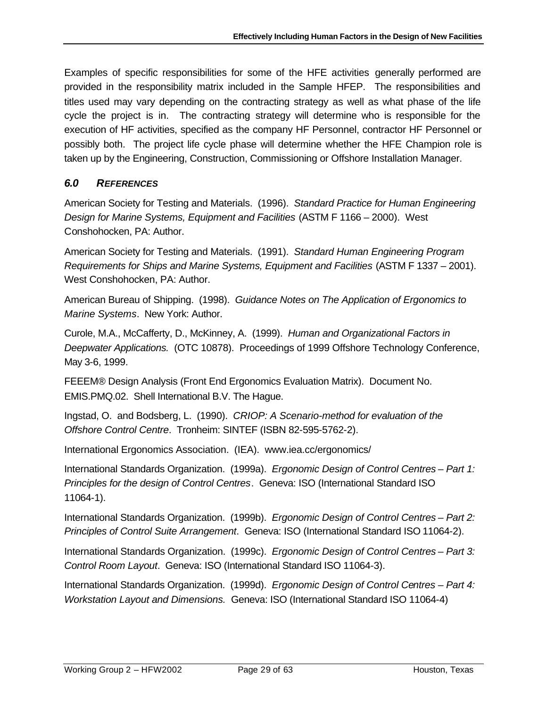Examples of specific responsibilities for some of the HFE activities generally performed are provided in the responsibility matrix included in the Sample HFEP. The responsibilities and titles used may vary depending on the contracting strategy as well as what phase of the life cycle the project is in. The contracting strategy will determine who is responsible for the execution of HF activities, specified as the company HF Personnel, contractor HF Personnel or possibly both. The project life cycle phase will determine whether the HFE Champion role is taken up by the Engineering, Construction, Commissioning or Offshore Installation Manager.

# *6.0 REFERENCES*

American Society for Testing and Materials. (1996). *Standard Practice for Human Engineering Design for Marine Systems, Equipment and Facilities* (ASTM F 1166 – 2000). West Conshohocken, PA: Author.

American Society for Testing and Materials. (1991). *Standard Human Engineering Program Requirements for Ships and Marine Systems, Equipment and Facilities* (ASTM F 1337 – 2001). West Conshohocken, PA: Author.

American Bureau of Shipping. (1998). *Guidance Notes on The Application of Ergonomics to Marine Systems*. New York: Author.

Curole, M.A., McCafferty, D., McKinney, A. (1999). *Human and Organizational Factors in Deepwater Applications.* (OTC 10878). Proceedings of 1999 Offshore Technology Conference, May 3-6, 1999.

FEEEM® Design Analysis (Front End Ergonomics Evaluation Matrix). Document No. EMIS.PMQ.02. Shell International B.V. The Hague.

Ingstad, O. and Bodsberg, L. (1990). *CRIOP: A Scenario-method for evaluation of the Offshore Control Centre*. Tronheim: SINTEF (ISBN 82-595-5762-2).

International Ergonomics Association. (IEA). www.iea.cc/ergonomics/

International Standards Organization. (1999a). *Ergonomic Design of Control Centres – Part 1: Principles for the design of Control Centres*. Geneva: ISO (International Standard ISO 11064-1).

International Standards Organization. (1999b). *Ergonomic Design of Control Centres – Part 2: Principles of Control Suite Arrangement*. Geneva: ISO (International Standard ISO 11064-2).

International Standards Organization. (1999c). *Ergonomic Design of Control Centres – Part 3: Control Room Layout*. Geneva: ISO (International Standard ISO 11064-3).

International Standards Organization. (1999d). *Ergonomic Design of Control Centres – Part 4: Workstation Layout and Dimensions.* Geneva: ISO (International Standard ISO 11064-4)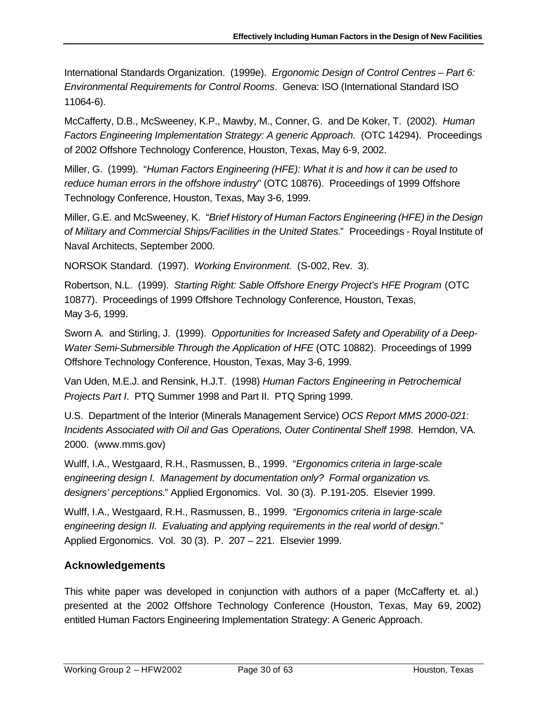International Standards Organization. (1999e). *Ergonomic Design of Control Centres – Part 6: Environmental Requirements for Control Rooms*. Geneva: ISO (International Standard ISO 11064-6).

McCafferty, D.B., McSweeney, K.P., Mawby, M., Conner, G. and De Koker, T. (2002). *Human Factors Engineering Implementation Strategy: A generic Approach.* (OTC 14294). Proceedings of 2002 Offshore Technology Conference, Houston, Texas, May 6-9, 2002.

Miller, G. (1999). "*Human Factors Engineering (HFE): What it is and how it can be used to reduce human errors in the offshore industry*" (OTC 10876). Proceedings of 1999 Offshore Technology Conference, Houston, Texas, May 3-6, 1999.

Miller, G.E. and McSweeney, K. "*Brief History of Human Factors Engineering (HFE) in the Design of Military and Commercial Ships/Facilities in the United States.*" Proceedings - Royal Institute of Naval Architects, September 2000.

NORSOK Standard. (1997). *Working Environment.* (S-002, Rev. 3).

Robertson, N.L. (1999). *Starting Right: Sable Offshore Energy Project's HFE Program* (OTC 10877). Proceedings of 1999 Offshore Technology Conference, Houston, Texas, May 3-6, 1999.

Sworn A. and Stirling, J. (1999). *Opportunities for Increased Safety and Operability of a Deep-Water Semi-Submersible Through the Application of HFE* (OTC 10882). Proceedings of 1999 Offshore Technology Conference, Houston, Texas, May 3-6, 1999.

Van Uden, M.E.J. and Rensink, H.J.T. (1998) *Human Factors Engineering in Petrochemical Projects Part I*. PTQ Summer 1998 and Part II. PTQ Spring 1999.

U.S. Department of the Interior (Minerals Management Service) *OCS Report MMS 2000-021*: *Incidents Associated with Oil and Gas Operations, Outer Continental Shelf 1998*. Herndon, VA. 2000. (www.mms.gov)

Wulff, I.A., Westgaard, R.H., Rasmussen, B., 1999. "*Ergonomics criteria in large-scale engineering design I. Management by documentation only? Formal organization vs. designers' perceptions.*" Applied Ergonomics. Vol. 30 (3). P.191-205. Elsevier 1999.

Wulff, I.A., Westgaard, R.H., Rasmussen, B., 1999. *"Ergonomics criteria in large-scale engineering design II. Evaluating and applying requirements in the real world of design*." Applied Ergonomics. Vol. 30 (3). P. 207 – 221. Elsevier 1999.

# **Acknowledgements**

This white paper was developed in conjunction with authors of a paper (McCafferty et. al.) presented at the 2002 Offshore Technology Conference (Houston, Texas, May 69, 2002) entitled Human Factors Engineering Implementation Strategy: A Generic Approach.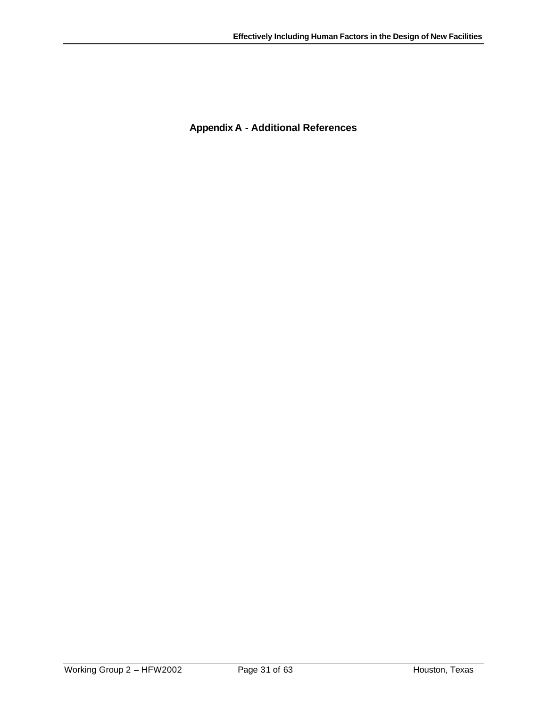**Appendix A - Additional References**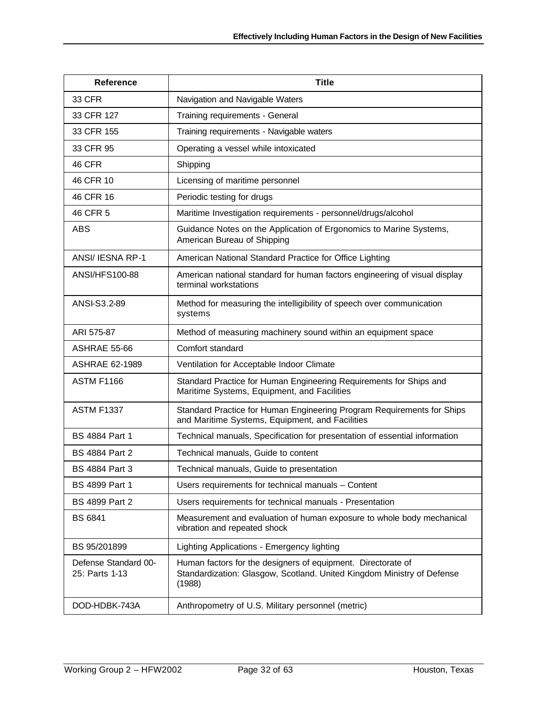| <b>Reference</b>                       | <b>Title</b>                                                                                                                                     |
|----------------------------------------|--------------------------------------------------------------------------------------------------------------------------------------------------|
| 33 CFR                                 | Navigation and Navigable Waters                                                                                                                  |
| 33 CFR 127                             | Training requirements - General                                                                                                                  |
| 33 CFR 155                             | Training requirements - Navigable waters                                                                                                         |
| 33 CFR 95                              | Operating a vessel while intoxicated                                                                                                             |
| 46 CFR                                 | Shipping                                                                                                                                         |
| 46 CFR 10                              | Licensing of maritime personnel                                                                                                                  |
| 46 CFR 16                              | Periodic testing for drugs                                                                                                                       |
| 46 CFR 5                               | Maritime Investigation requirements - personnel/drugs/alcohol                                                                                    |
| <b>ABS</b>                             | Guidance Notes on the Application of Ergonomics to Marine Systems,<br>American Bureau of Shipping                                                |
| ANSI/ IESNA RP-1                       | American National Standard Practice for Office Lighting                                                                                          |
| ANSI/HFS100-88                         | American national standard for human factors engineering of visual display<br>terminal workstations                                              |
| ANSI-S3.2-89                           | Method for measuring the intelligibility of speech over communication<br>systems                                                                 |
| ARI 575-87                             | Method of measuring machinery sound within an equipment space                                                                                    |
| ASHRAE 55-66                           | Comfort standard                                                                                                                                 |
| <b>ASHRAE 62-1989</b>                  | Ventilation for Acceptable Indoor Climate                                                                                                        |
| <b>ASTM F1166</b>                      | Standard Practice for Human Engineering Requirements for Ships and<br>Maritime Systems, Equipment, and Facilities                                |
| <b>ASTM F1337</b>                      | Standard Practice for Human Engineering Program Requirements for Ships<br>and Maritime Systems, Equipment, and Facilities                        |
| <b>BS 4884 Part 1</b>                  | Technical manuals, Specification for presentation of essential information                                                                       |
| <b>BS 4884 Part 2</b>                  | Technical manuals, Guide to content                                                                                                              |
| <b>BS 4884 Part 3</b>                  | Technical manuals, Guide to presentation                                                                                                         |
| BS 4899 Part 1                         | Users requirements for technical manuals - Content                                                                                               |
| BS 4899 Part 2                         | Users requirements for technical manuals - Presentation                                                                                          |
| <b>BS 6841</b>                         | Measurement and evaluation of human exposure to whole body mechanical<br>vibration and repeated shock                                            |
| BS 95/201899                           | Lighting Applications - Emergency lighting                                                                                                       |
| Defense Standard 00-<br>25: Parts 1-13 | Human factors for the designers of equipment. Directorate of<br>Standardization: Glasgow, Scotland. United Kingdom Ministry of Defense<br>(1988) |
| DOD-HDBK-743A                          | Anthropometry of U.S. Military personnel (metric)                                                                                                |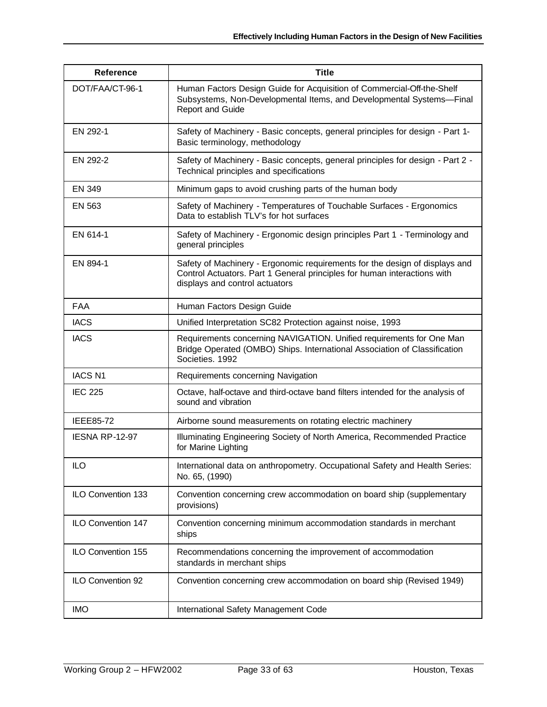| <b>Reference</b>      | <b>Title</b>                                                                                                                                                                              |
|-----------------------|-------------------------------------------------------------------------------------------------------------------------------------------------------------------------------------------|
| DOT/FAA/CT-96-1       | Human Factors Design Guide for Acquisition of Commercial-Off-the-Shelf<br>Subsystems, Non-Developmental Items, and Developmental Systems-Final<br><b>Report and Guide</b>                 |
| EN 292-1              | Safety of Machinery - Basic concepts, general principles for design - Part 1-<br>Basic terminology, methodology                                                                           |
| EN 292-2              | Safety of Machinery - Basic concepts, general principles for design - Part 2 -<br>Technical principles and specifications                                                                 |
| <b>EN 349</b>         | Minimum gaps to avoid crushing parts of the human body                                                                                                                                    |
| EN 563                | Safety of Machinery - Temperatures of Touchable Surfaces - Ergonomics<br>Data to establish TLV's for hot surfaces                                                                         |
| EN 614-1              | Safety of Machinery - Ergonomic design principles Part 1 - Terminology and<br>general principles                                                                                          |
| EN 894-1              | Safety of Machinery - Ergonomic requirements for the design of displays and<br>Control Actuators. Part 1 General principles for human interactions with<br>displays and control actuators |
| <b>FAA</b>            | Human Factors Design Guide                                                                                                                                                                |
| <b>IACS</b>           | Unified Interpretation SC82 Protection against noise, 1993                                                                                                                                |
| <b>IACS</b>           | Requirements concerning NAVIGATION. Unified requirements for One Man<br>Bridge Operated (OMBO) Ships. International Association of Classification<br>Societies. 1992                      |
| <b>IACS N1</b>        | Requirements concerning Navigation                                                                                                                                                        |
| <b>IEC 225</b>        | Octave, half-octave and third-octave band filters intended for the analysis of<br>sound and vibration                                                                                     |
| <b>IEEE85-72</b>      | Airborne sound measurements on rotating electric machinery                                                                                                                                |
| <b>IESNA RP-12-97</b> | Illuminating Engineering Society of North America, Recommended Practice<br>for Marine Lighting                                                                                            |
| ILO                   | International data on anthropometry. Occupational Safety and Health Series:<br>No. 65, (1990)                                                                                             |
| ILO Convention 133    | Convention concerning crew accommodation on board ship (supplementary<br>provisions)                                                                                                      |
| ILO Convention 147    | Convention concerning minimum accommodation standards in merchant<br>ships                                                                                                                |
| ILO Convention 155    | Recommendations concerning the improvement of accommodation<br>standards in merchant ships                                                                                                |
| ILO Convention 92     | Convention concerning crew accommodation on board ship (Revised 1949)                                                                                                                     |
| <b>IMO</b>            | International Safety Management Code                                                                                                                                                      |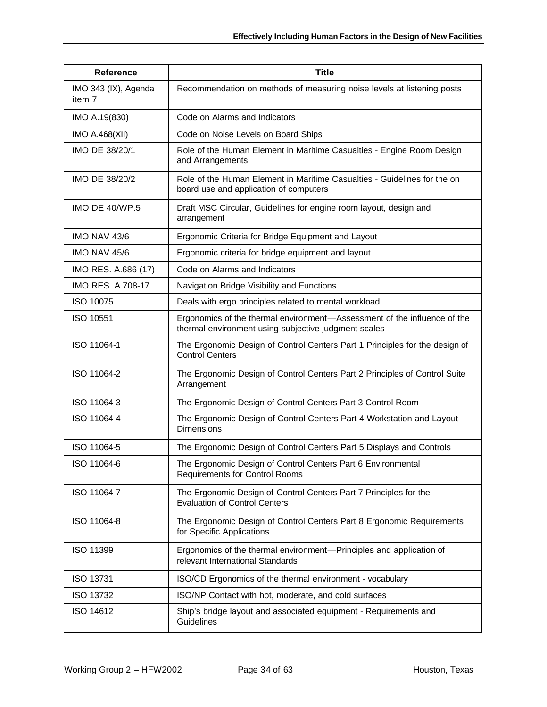| <b>Title</b><br><b>Reference</b> |                                                                                                                                  |  |  |  |
|----------------------------------|----------------------------------------------------------------------------------------------------------------------------------|--|--|--|
| IMO 343 (IX), Agenda<br>item 7   | Recommendation on methods of measuring noise levels at listening posts                                                           |  |  |  |
| IMO A.19(830)                    | Code on Alarms and Indicators                                                                                                    |  |  |  |
| <b>IMO A.468(XII)</b>            | Code on Noise Levels on Board Ships                                                                                              |  |  |  |
| IMO DE 38/20/1                   | Role of the Human Element in Maritime Casualties - Engine Room Design<br>and Arrangements                                        |  |  |  |
| IMO DE 38/20/2                   | Role of the Human Element in Maritime Casualties - Guidelines for the on<br>board use and application of computers               |  |  |  |
| <b>IMO DE 40/WP.5</b>            | Draft MSC Circular, Guidelines for engine room layout, design and<br>arrangement                                                 |  |  |  |
| IMO NAV 43/6                     | Ergonomic Criteria for Bridge Equipment and Layout                                                                               |  |  |  |
| IMO NAV 45/6                     | Ergonomic criteria for bridge equipment and layout                                                                               |  |  |  |
| IMO RES. A.686 (17)              | Code on Alarms and Indicators                                                                                                    |  |  |  |
| <b>IMO RES. A.708-17</b>         | Navigation Bridge Visibility and Functions                                                                                       |  |  |  |
| <b>ISO 10075</b>                 | Deals with ergo principles related to mental workload                                                                            |  |  |  |
| ISO 10551                        | Ergonomics of the thermal environment-Assessment of the influence of the<br>thermal environment using subjective judgment scales |  |  |  |
| ISO 11064-1                      | The Ergonomic Design of Control Centers Part 1 Principles for the design of<br><b>Control Centers</b>                            |  |  |  |
| ISO 11064-2                      | The Ergonomic Design of Control Centers Part 2 Principles of Control Suite<br>Arrangement                                        |  |  |  |
| ISO 11064-3                      | The Ergonomic Design of Control Centers Part 3 Control Room                                                                      |  |  |  |
| ISO 11064-4                      | The Ergonomic Design of Control Centers Part 4 Workstation and Layout<br><b>Dimensions</b>                                       |  |  |  |
| ISO 11064-5                      | The Ergonomic Design of Control Centers Part 5 Displays and Controls                                                             |  |  |  |
| ISO 11064-6                      | The Ergonomic Design of Control Centers Part 6 Environmental<br><b>Requirements for Control Rooms</b>                            |  |  |  |
| ISO 11064-7                      | The Ergonomic Design of Control Centers Part 7 Principles for the<br><b>Evaluation of Control Centers</b>                        |  |  |  |
| ISO 11064-8                      | The Ergonomic Design of Control Centers Part 8 Ergonomic Requirements<br>for Specific Applications                               |  |  |  |
| ISO 11399                        | Ergonomics of the thermal environment-Principles and application of<br>relevant International Standards                          |  |  |  |
| ISO 13731                        | ISO/CD Ergonomics of the thermal environment - vocabulary                                                                        |  |  |  |
| <b>ISO 13732</b>                 | ISO/NP Contact with hot, moderate, and cold surfaces                                                                             |  |  |  |
| ISO 14612                        | Ship's bridge layout and associated equipment - Requirements and<br>Guidelines                                                   |  |  |  |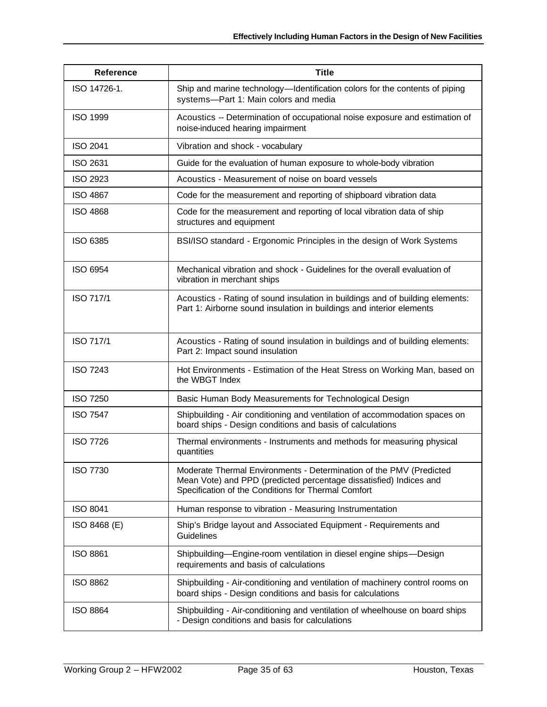| <b>Reference</b> | <b>Title</b>                                                                                                                                                                                     |  |  |  |  |
|------------------|--------------------------------------------------------------------------------------------------------------------------------------------------------------------------------------------------|--|--|--|--|
| ISO 14726-1.     | Ship and marine technology—Identification colors for the contents of piping<br>systems-Part 1: Main colors and media                                                                             |  |  |  |  |
| <b>ISO 1999</b>  | Acoustics -- Determination of occupational noise exposure and estimation of<br>noise-induced hearing impairment                                                                                  |  |  |  |  |
| <b>ISO 2041</b>  | Vibration and shock - vocabulary                                                                                                                                                                 |  |  |  |  |
| ISO 2631         | Guide for the evaluation of human exposure to whole-body vibration                                                                                                                               |  |  |  |  |
| <b>ISO 2923</b>  | Acoustics - Measurement of noise on board vessels                                                                                                                                                |  |  |  |  |
| <b>ISO 4867</b>  | Code for the measurement and reporting of shipboard vibration data                                                                                                                               |  |  |  |  |
| <b>ISO 4868</b>  | Code for the measurement and reporting of local vibration data of ship<br>structures and equipment                                                                                               |  |  |  |  |
| ISO 6385         | BSI/ISO standard - Ergonomic Principles in the design of Work Systems                                                                                                                            |  |  |  |  |
| <b>ISO 6954</b>  | Mechanical vibration and shock - Guidelines for the overall evaluation of<br>vibration in merchant ships                                                                                         |  |  |  |  |
| <b>ISO 717/1</b> | Acoustics - Rating of sound insulation in buildings and of building elements:<br>Part 1: Airborne sound insulation in buildings and interior elements                                            |  |  |  |  |
| <b>ISO 717/1</b> | Acoustics - Rating of sound insulation in buildings and of building elements:<br>Part 2: Impact sound insulation                                                                                 |  |  |  |  |
| <b>ISO 7243</b>  | Hot Environments - Estimation of the Heat Stress on Working Man, based on<br>the WBGT Index                                                                                                      |  |  |  |  |
| <b>ISO 7250</b>  | Basic Human Body Measurements for Technological Design                                                                                                                                           |  |  |  |  |
| <b>ISO 7547</b>  | Shipbuilding - Air conditioning and ventilation of accommodation spaces on<br>board ships - Design conditions and basis of calculations                                                          |  |  |  |  |
| <b>ISO 7726</b>  | Thermal environments - Instruments and methods for measuring physical<br>quantities                                                                                                              |  |  |  |  |
| <b>ISO 7730</b>  | Moderate Thermal Environments - Determination of the PMV (Predicted<br>Mean Vote) and PPD (predicted percentage dissatisfied) Indices and<br>Specification of the Conditions for Thermal Comfort |  |  |  |  |
| <b>ISO 8041</b>  | Human response to vibration - Measuring Instrumentation                                                                                                                                          |  |  |  |  |
| ISO 8468 (E)     | Ship's Bridge layout and Associated Equipment - Requirements and<br>Guidelines                                                                                                                   |  |  |  |  |
| <b>ISO 8861</b>  | Shipbuilding-Engine-room ventilation in diesel engine ships-Design<br>requirements and basis of calculations                                                                                     |  |  |  |  |
| <b>ISO 8862</b>  | Shipbuilding - Air-conditioning and ventilation of machinery control rooms on<br>board ships - Design conditions and basis for calculations                                                      |  |  |  |  |
| <b>ISO 8864</b>  | Shipbuilding - Air-conditioning and ventilation of wheelhouse on board ships<br>- Design conditions and basis for calculations                                                                   |  |  |  |  |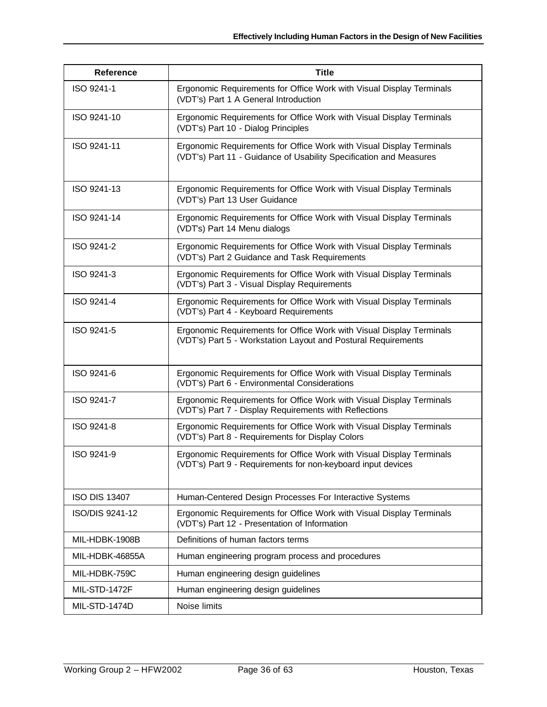| <b>Reference</b>     | <b>Title</b>                                                                                                                               |
|----------------------|--------------------------------------------------------------------------------------------------------------------------------------------|
| ISO 9241-1           | Ergonomic Requirements for Office Work with Visual Display Terminals<br>(VDT's) Part 1 A General Introduction                              |
| ISO 9241-10          | Ergonomic Requirements for Office Work with Visual Display Terminals<br>(VDT's) Part 10 - Dialog Principles                                |
| ISO 9241-11          | Ergonomic Requirements for Office Work with Visual Display Terminals<br>(VDT's) Part 11 - Guidance of Usability Specification and Measures |
| ISO 9241-13          | Ergonomic Requirements for Office Work with Visual Display Terminals<br>(VDT's) Part 13 User Guidance                                      |
| ISO 9241-14          | Ergonomic Requirements for Office Work with Visual Display Terminals<br>(VDT's) Part 14 Menu dialogs                                       |
| ISO 9241-2           | Ergonomic Requirements for Office Work with Visual Display Terminals<br>(VDT's) Part 2 Guidance and Task Requirements                      |
| ISO 9241-3           | Ergonomic Requirements for Office Work with Visual Display Terminals<br>(VDT's) Part 3 - Visual Display Requirements                       |
| ISO 9241-4           | Ergonomic Requirements for Office Work with Visual Display Terminals<br>(VDT's) Part 4 - Keyboard Requirements                             |
| ISO 9241-5           | Ergonomic Requirements for Office Work with Visual Display Terminals<br>(VDT's) Part 5 - Workstation Layout and Postural Requirements      |
| ISO 9241-6           | Ergonomic Requirements for Office Work with Visual Display Terminals<br>(VDT's) Part 6 - Environmental Considerations                      |
| ISO 9241-7           | Ergonomic Requirements for Office Work with Visual Display Terminals<br>(VDT's) Part 7 - Display Requirements with Reflections             |
| ISO 9241-8           | Ergonomic Requirements for Office Work with Visual Display Terminals<br>(VDT's) Part 8 - Requirements for Display Colors                   |
| ISO 9241-9           | Ergonomic Requirements for Office Work with Visual Display Terminals<br>(VDT's) Part 9 - Requirements for non-keyboard input devices       |
| <b>ISO DIS 13407</b> | Human-Centered Design Processes For Interactive Systems                                                                                    |
| ISO/DIS 9241-12      | Ergonomic Requirements for Office Work with Visual Display Terminals<br>(VDT's) Part 12 - Presentation of Information                      |
| MIL-HDBK-1908B       | Definitions of human factors terms                                                                                                         |
| MIL-HDBK-46855A      | Human engineering program process and procedures                                                                                           |
| MIL-HDBK-759C        | Human engineering design guidelines                                                                                                        |
| MIL-STD-1472F        | Human engineering design guidelines                                                                                                        |
| MIL-STD-1474D        | Noise limits                                                                                                                               |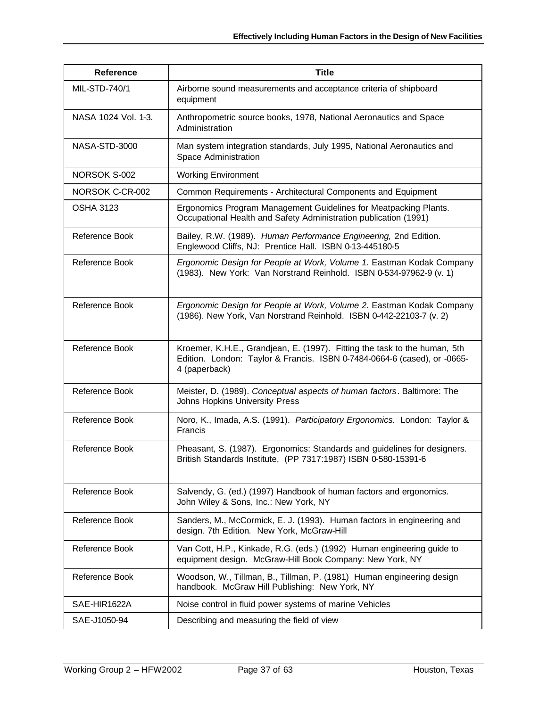| <b>Reference</b>    | <b>Title</b>                                                                                                                                                           |
|---------------------|------------------------------------------------------------------------------------------------------------------------------------------------------------------------|
| MIL-STD-740/1       | Airborne sound measurements and acceptance criteria of shipboard<br>equipment                                                                                          |
| NASA 1024 Vol. 1-3. | Anthropometric source books, 1978, National Aeronautics and Space<br>Administration                                                                                    |
| NASA-STD-3000       | Man system integration standards, July 1995, National Aeronautics and<br>Space Administration                                                                          |
| NORSOK S-002        | <b>Working Environment</b>                                                                                                                                             |
| NORSOK C-CR-002     | Common Requirements - Architectural Components and Equipment                                                                                                           |
| <b>OSHA 3123</b>    | Ergonomics Program Management Guidelines for Meatpacking Plants.<br>Occupational Health and Safety Administration publication (1991)                                   |
| Reference Book      | Bailey, R.W. (1989). Human Performance Engineering, 2nd Edition.<br>Englewood Cliffs, NJ: Prentice Hall. ISBN 0-13-445180-5                                            |
| Reference Book      | Ergonomic Design for People at Work, Volume 1. Eastman Kodak Company<br>(1983). New York: Van Norstrand Reinhold. ISBN 0-534-97962-9 (v. 1)                            |
| Reference Book      | Ergonomic Design for People at Work, Volume 2. Eastman Kodak Company<br>(1986). New York, Van Norstrand Reinhold. ISBN 0-442-22103-7 (v. 2)                            |
| Reference Book      | Kroemer, K.H.E., Grandjean, E. (1997). Fitting the task to the human, 5th<br>Edition. London: Taylor & Francis. ISBN 0-7484-0664-6 (cased), or -0665-<br>4 (paperback) |
| Reference Book      | Meister, D. (1989). Conceptual aspects of human factors. Baltimore: The<br>Johns Hopkins University Press                                                              |
| Reference Book      | Noro, K., Imada, A.S. (1991). Participatory Ergonomics. London: Taylor &<br>Francis                                                                                    |
| Reference Book      | Pheasant, S. (1987). Ergonomics: Standards and guidelines for designers.<br>British Standards Institute, (PP 7317:1987) ISBN 0-580-15391-6                             |
| Reference Book      | Salvendy, G. (ed.) (1997) Handbook of human factors and ergonomics.<br>John Wiley & Sons, Inc.: New York, NY                                                           |
| Reference Book      | Sanders, M., McCormick, E. J. (1993). Human factors in engineering and<br>design. 7th Edition. New York, McGraw-Hill                                                   |
| Reference Book      | Van Cott, H.P., Kinkade, R.G. (eds.) (1992) Human engineering guide to<br>equipment design. McGraw-Hill Book Company: New York, NY                                     |
| Reference Book      | Woodson, W., Tillman, B., Tillman, P. (1981) Human engineering design<br>handbook. McGraw Hill Publishing: New York, NY                                                |
| SAE-HIR1622A        | Noise control in fluid power systems of marine Vehicles                                                                                                                |
| SAE-J1050-94        | Describing and measuring the field of view                                                                                                                             |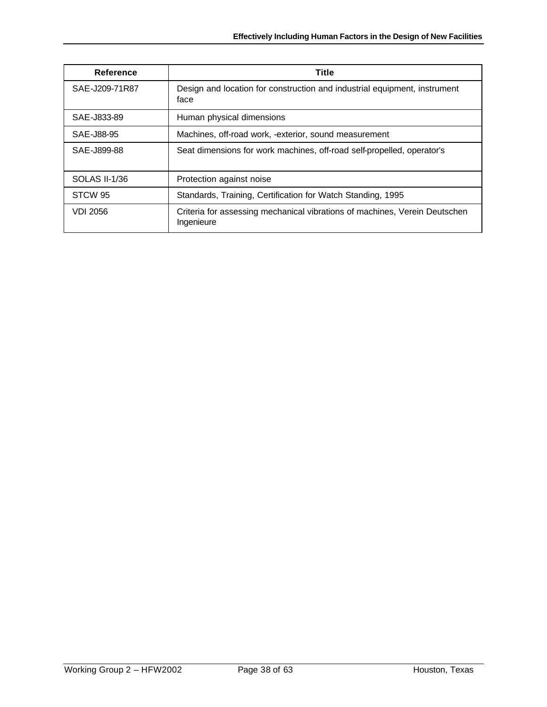| Reference       | <b>Title</b>                                                                             |
|-----------------|------------------------------------------------------------------------------------------|
| SAE-J209-71R87  | Design and location for construction and industrial equipment, instrument<br>face        |
| SAE-J833-89     | Human physical dimensions                                                                |
| SAE-J88-95      | Machines, off-road work, -exterior, sound measurement                                    |
| SAE-J899-88     | Seat dimensions for work machines, off-road self-propelled, operator's                   |
| SOLAS II-1/36   | Protection against noise                                                                 |
| STCW 95         | Standards, Training, Certification for Watch Standing, 1995                              |
| <b>VDI 2056</b> | Criteria for assessing mechanical vibrations of machines, Verein Deutschen<br>Ingenieure |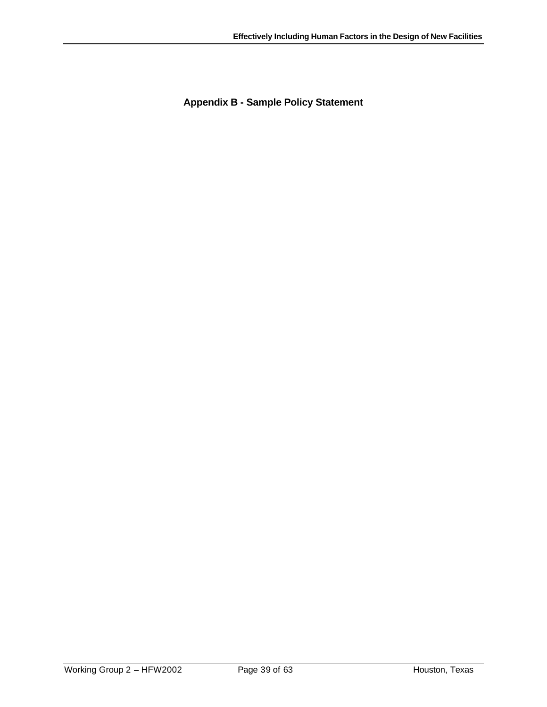**Appendix B - Sample Policy Statement**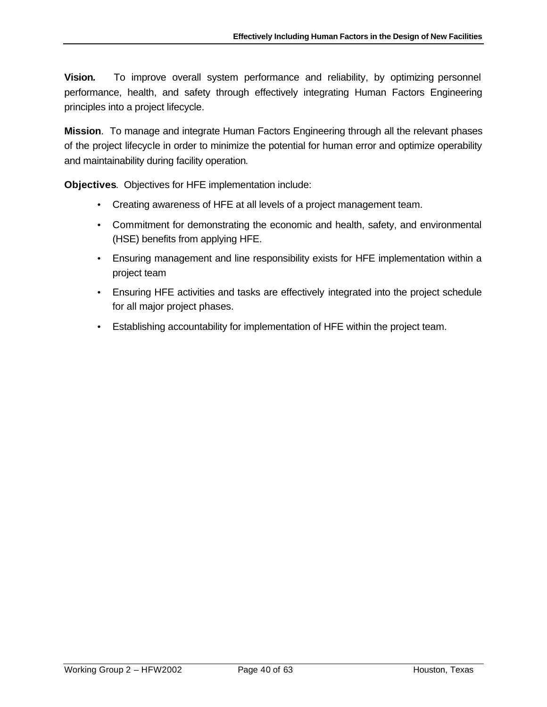**Vision***.* To improve overall system performance and reliability, by optimizing personnel performance, health, and safety through effectively integrating Human Factors Engineering principles into a project lifecycle.

**Mission**. To manage and integrate Human Factors Engineering through all the relevant phases of the project lifecycle in order to minimize the potential for human error and optimize operability and maintainability during facility operation*.*

**Objectives**. Objectives for HFE implementation include:

- Creating awareness of HFE at all levels of a project management team.
- Commitment for demonstrating the economic and health, safety, and environmental (HSE) benefits from applying HFE.
- Ensuring management and line responsibility exists for HFE implementation within a project team
- Ensuring HFE activities and tasks are effectively integrated into the project schedule for all major project phases.
- Establishing accountability for implementation of HFE within the project team.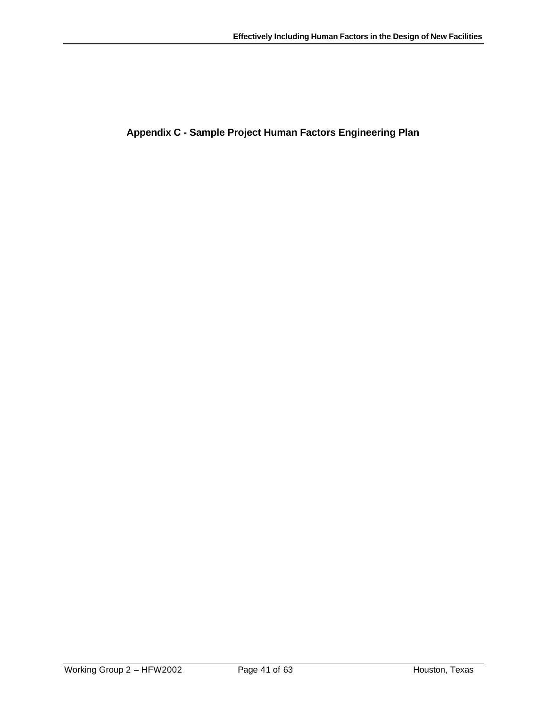**Appendix C - Sample Project Human Factors Engineering Plan**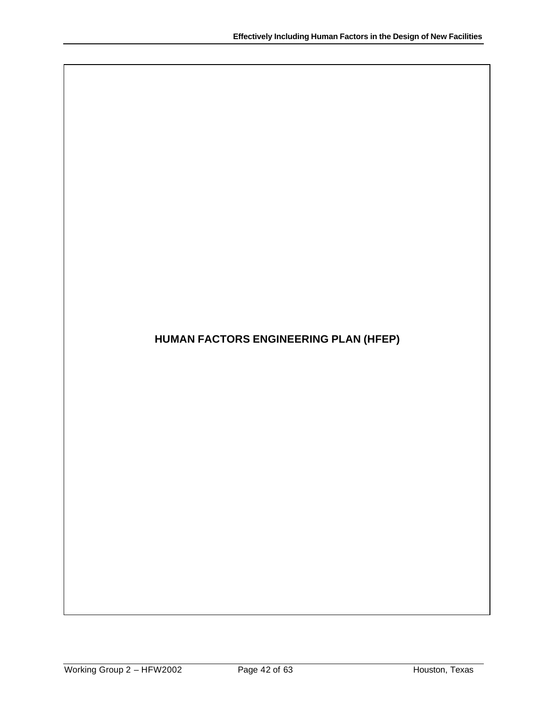# **HUMAN FACTORS ENGINEERING PLAN (HFEP)**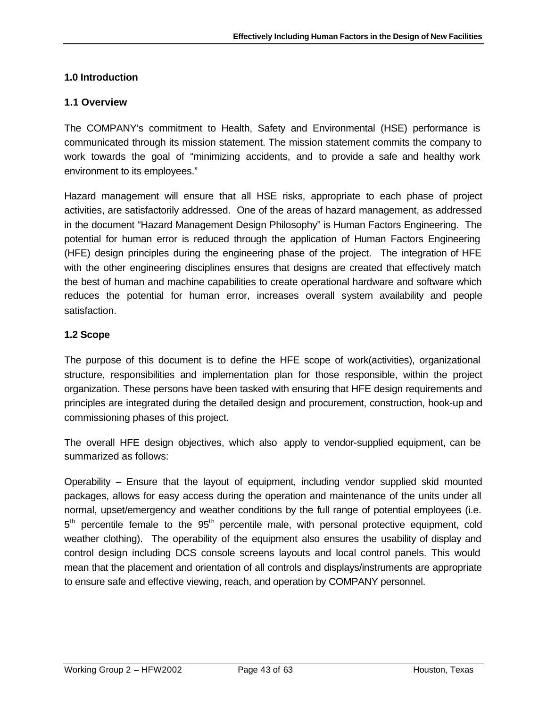# **1.0 Introduction**

### **1.1 Overview**

The COMPANY's commitment to Health, Safety and Environmental (HSE) performance is communicated through its mission statement. The mission statement commits the company to work towards the goal of "minimizing accidents, and to provide a safe and healthy work environment to its employees."

Hazard management will ensure that all HSE risks, appropriate to each phase of project activities, are satisfactorily addressed. One of the areas of hazard management, as addressed in the document "Hazard Management Design Philosophy" is Human Factors Engineering. The potential for human error is reduced through the application of Human Factors Engineering (HFE) design principles during the engineering phase of the project. The integration of HFE with the other engineering disciplines ensures that designs are created that effectively match the best of human and machine capabilities to create operational hardware and software which reduces the potential for human error, increases overall system availability and people satisfaction.

### **1.2 Scope**

The purpose of this document is to define the HFE scope of work(activities), organizational structure, responsibilities and implementation plan for those responsible, within the project organization. These persons have been tasked with ensuring that HFE design requirements and principles are integrated during the detailed design and procurement, construction, hook-up and commissioning phases of this project.

The overall HFE design objectives, which also apply to vendor-supplied equipment, can be summarized as follows:

Operability – Ensure that the layout of equipment, including vendor supplied skid mounted packages, allows for easy access during the operation and maintenance of the units under all normal, upset/emergency and weather conditions by the full range of potential employees (i.e. 5<sup>th</sup> percentile female to the 95<sup>th</sup> percentile male, with personal protective equipment, cold weather clothing). The operability of the equipment also ensures the usability of display and control design including DCS console screens layouts and local control panels. This would mean that the placement and orientation of all controls and displays/instruments are appropriate to ensure safe and effective viewing, reach, and operation by COMPANY personnel.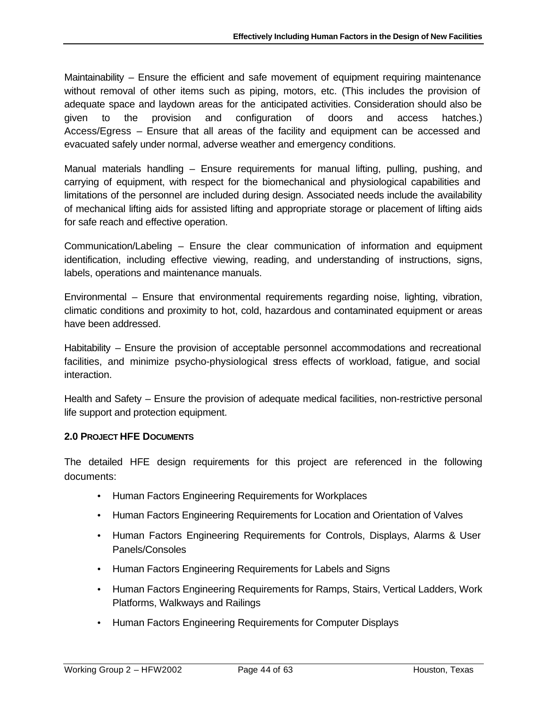Maintainability – Ensure the efficient and safe movement of equipment requiring maintenance without removal of other items such as piping, motors, etc. (This includes the provision of adequate space and laydown areas for the anticipated activities. Consideration should also be given to the provision and configuration of doors and access hatches.) Access/Egress – Ensure that all areas of the facility and equipment can be accessed and evacuated safely under normal, adverse weather and emergency conditions.

Manual materials handling – Ensure requirements for manual lifting, pulling, pushing, and carrying of equipment, with respect for the biomechanical and physiological capabilities and limitations of the personnel are included during design. Associated needs include the availability of mechanical lifting aids for assisted lifting and appropriate storage or placement of lifting aids for safe reach and effective operation.

Communication/Labeling – Ensure the clear communication of information and equipment identification, including effective viewing, reading, and understanding of instructions, signs, labels, operations and maintenance manuals.

Environmental – Ensure that environmental requirements regarding noise, lighting, vibration, climatic conditions and proximity to hot, cold, hazardous and contaminated equipment or areas have been addressed.

Habitability – Ensure the provision of acceptable personnel accommodations and recreational facilities, and minimize psycho-physiological stress effects of workload, fatigue, and social interaction.

Health and Safety – Ensure the provision of adequate medical facilities, non-restrictive personal life support and protection equipment.

# **2.0 PROJECT HFE DOCUMENTS**

The detailed HFE design requirements for this project are referenced in the following documents:

- Human Factors Engineering Requirements for Workplaces
- Human Factors Engineering Requirements for Location and Orientation of Valves
- Human Factors Engineering Requirements for Controls, Displays, Alarms & User Panels/Consoles
- Human Factors Engineering Requirements for Labels and Signs
- Human Factors Engineering Requirements for Ramps, Stairs, Vertical Ladders, Work Platforms, Walkways and Railings
- Human Factors Engineering Requirements for Computer Displays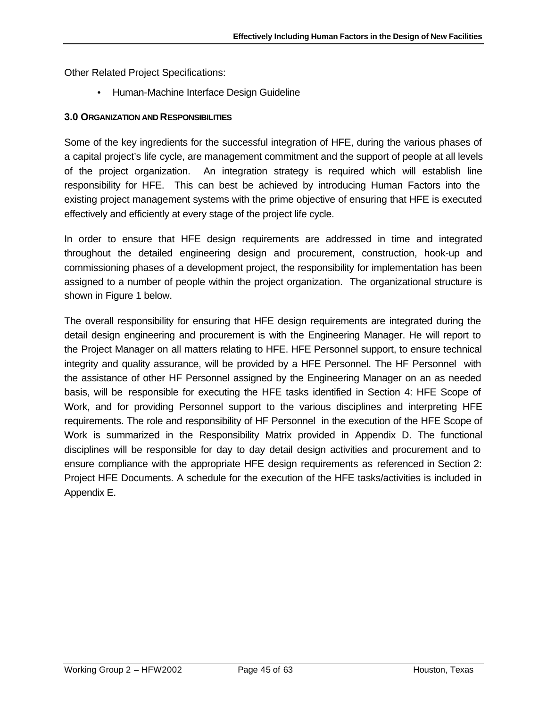Other Related Project Specifications:

• Human-Machine Interface Design Guideline

### **3.0 ORGANIZATION AND RESPONSIBILITIES**

Some of the key ingredients for the successful integration of HFE, during the various phases of a capital project's life cycle, are management commitment and the support of people at all levels of the project organization. An integration strategy is required which will establish line responsibility for HFE. This can best be achieved by introducing Human Factors into the existing project management systems with the prime objective of ensuring that HFE is executed effectively and efficiently at every stage of the project life cycle.

In order to ensure that HFE design requirements are addressed in time and integrated throughout the detailed engineering design and procurement, construction, hook-up and commissioning phases of a development project, the responsibility for implementation has been assigned to a number of people within the project organization. The organizational structure is shown in Figure 1 below.

The overall responsibility for ensuring that HFE design requirements are integrated during the detail design engineering and procurement is with the Engineering Manager. He will report to the Project Manager on all matters relating to HFE. HFE Personnel support, to ensure technical integrity and quality assurance, will be provided by a HFE Personnel. The HF Personnel with the assistance of other HF Personnel assigned by the Engineering Manager on an as needed basis, will be responsible for executing the HFE tasks identified in Section 4: HFE Scope of Work, and for providing Personnel support to the various disciplines and interpreting HFE requirements. The role and responsibility of HF Personnel in the execution of the HFE Scope of Work is summarized in the Responsibility Matrix provided in Appendix D. The functional disciplines will be responsible for day to day detail design activities and procurement and to ensure compliance with the appropriate HFE design requirements as referenced in Section 2: Project HFE Documents. A schedule for the execution of the HFE tasks/activities is included in Appendix E.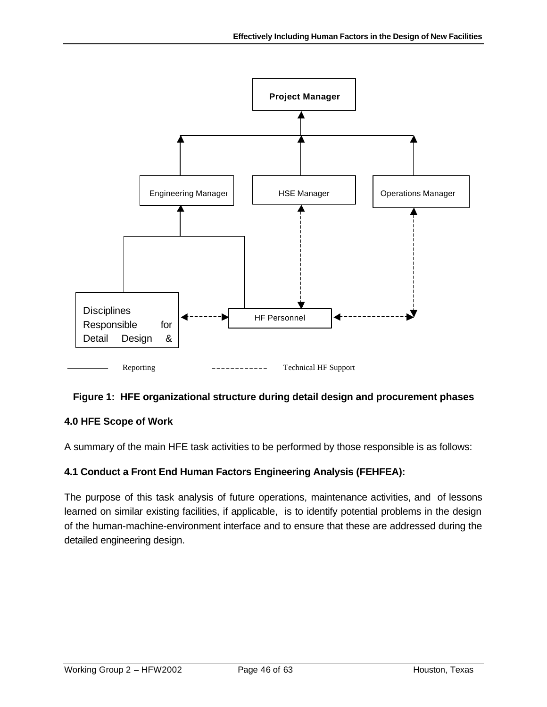

# **Figure 1: HFE organizational structure during detail design and procurement phases**

# **4.0 HFE Scope of Work**

A summary of the main HFE task activities to be performed by those responsible is as follows:

# **4.1 Conduct a Front End Human Factors Engineering Analysis (FEHFEA):**

The purpose of this task analysis of future operations, maintenance activities, and of lessons learned on similar existing facilities, if applicable, is to identify potential problems in the design of the human-machine-environment interface and to ensure that these are addressed during the detailed engineering design.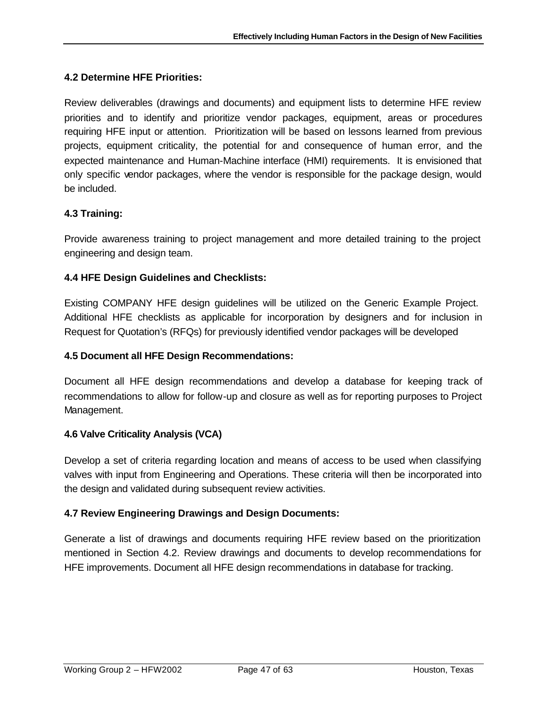# **4.2 Determine HFE Priorities:**

Review deliverables (drawings and documents) and equipment lists to determine HFE review priorities and to identify and prioritize vendor packages, equipment, areas or procedures requiring HFE input or attention. Prioritization will be based on lessons learned from previous projects, equipment criticality, the potential for and consequence of human error, and the expected maintenance and Human-Machine interface (HMI) requirements. It is envisioned that only specific vendor packages, where the vendor is responsible for the package design, would be included.

### **4.3 Training:**

Provide awareness training to project management and more detailed training to the project engineering and design team.

### **4.4 HFE Design Guidelines and Checklists:**

Existing COMPANY HFE design guidelines will be utilized on the Generic Example Project. Additional HFE checklists as applicable for incorporation by designers and for inclusion in Request for Quotation's (RFQs) for previously identified vendor packages will be developed

### **4.5 Document all HFE Design Recommendations:**

Document all HFE design recommendations and develop a database for keeping track of recommendations to allow for follow-up and closure as well as for reporting purposes to Project Management.

### **4.6 Valve Criticality Analysis (VCA)**

Develop a set of criteria regarding location and means of access to be used when classifying valves with input from Engineering and Operations. These criteria will then be incorporated into the design and validated during subsequent review activities.

### **4.7 Review Engineering Drawings and Design Documents:**

Generate a list of drawings and documents requiring HFE review based on the prioritization mentioned in Section 4.2. Review drawings and documents to develop recommendations for HFE improvements. Document all HFE design recommendations in database for tracking.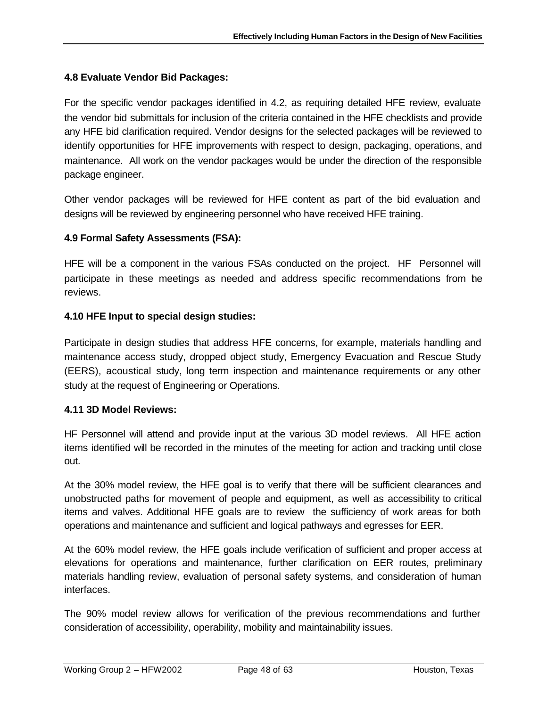### **4.8 Evaluate Vendor Bid Packages:**

For the specific vendor packages identified in 4.2, as requiring detailed HFE review, evaluate the vendor bid submittals for inclusion of the criteria contained in the HFE checklists and provide any HFE bid clarification required. Vendor designs for the selected packages will be reviewed to identify opportunities for HFE improvements with respect to design, packaging, operations, and maintenance. All work on the vendor packages would be under the direction of the responsible package engineer.

Other vendor packages will be reviewed for HFE content as part of the bid evaluation and designs will be reviewed by engineering personnel who have received HFE training.

### **4.9 Formal Safety Assessments (FSA):**

HFE will be a component in the various FSAs conducted on the project. HF Personnel will participate in these meetings as needed and address specific recommendations from the reviews.

### **4.10 HFE Input to special design studies:**

Participate in design studies that address HFE concerns, for example, materials handling and maintenance access study, dropped object study, Emergency Evacuation and Rescue Study (EERS), acoustical study, long term inspection and maintenance requirements or any other study at the request of Engineering or Operations.

### **4.11 3D Model Reviews:**

HF Personnel will attend and provide input at the various 3D model reviews. All HFE action items identified will be recorded in the minutes of the meeting for action and tracking until close out.

At the 30% model review, the HFE goal is to verify that there will be sufficient clearances and unobstructed paths for movement of people and equipment, as well as accessibility to critical items and valves. Additional HFE goals are to review the sufficiency of work areas for both operations and maintenance and sufficient and logical pathways and egresses for EER.

At the 60% model review, the HFE goals include verification of sufficient and proper access at elevations for operations and maintenance, further clarification on EER routes, preliminary materials handling review, evaluation of personal safety systems, and consideration of human interfaces.

The 90% model review allows for verification of the previous recommendations and further consideration of accessibility, operability, mobility and maintainability issues.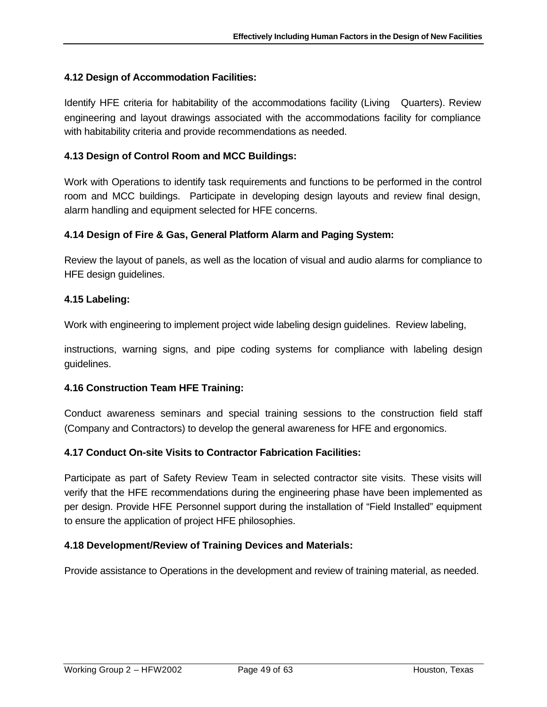### **4.12 Design of Accommodation Facilities:**

Identify HFE criteria for habitability of the accommodations facility (Living Quarters). Review engineering and layout drawings associated with the accommodations facility for compliance with habitability criteria and provide recommendations as needed.

### **4.13 Design of Control Room and MCC Buildings:**

Work with Operations to identify task requirements and functions to be performed in the control room and MCC buildings. Participate in developing design layouts and review final design, alarm handling and equipment selected for HFE concerns.

### **4.14 Design of Fire & Gas, General Platform Alarm and Paging System:**

Review the layout of panels, as well as the location of visual and audio alarms for compliance to HFE design guidelines.

### **4.15 Labeling:**

Work with engineering to implement project wide labeling design guidelines. Review labeling,

instructions, warning signs, and pipe coding systems for compliance with labeling design guidelines.

### **4.16 Construction Team HFE Training:**

Conduct awareness seminars and special training sessions to the construction field staff (Company and Contractors) to develop the general awareness for HFE and ergonomics.

### **4.17 Conduct On-site Visits to Contractor Fabrication Facilities:**

Participate as part of Safety Review Team in selected contractor site visits. These visits will verify that the HFE recommendations during the engineering phase have been implemented as per design. Provide HFE Personnel support during the installation of "Field Installed" equipment to ensure the application of project HFE philosophies.

### **4.18 Development/Review of Training Devices and Materials:**

Provide assistance to Operations in the development and review of training material, as needed.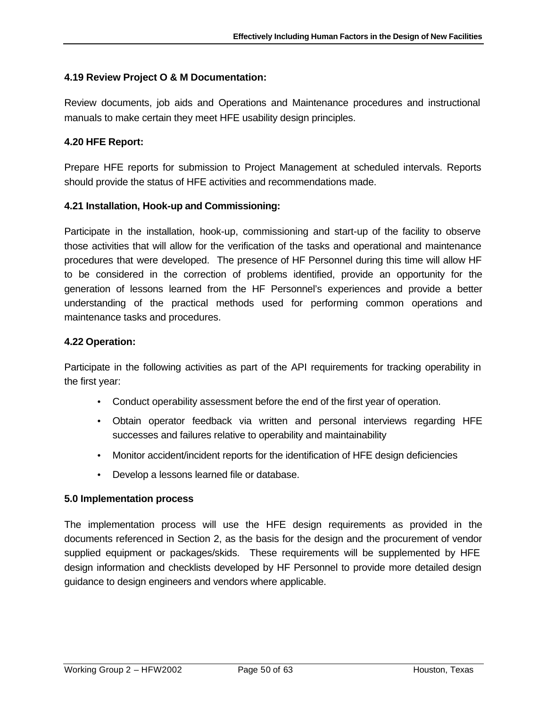### **4.19 Review Project O & M Documentation:**

Review documents, job aids and Operations and Maintenance procedures and instructional manuals to make certain they meet HFE usability design principles.

### **4.20 HFE Report:**

Prepare HFE reports for submission to Project Management at scheduled intervals. Reports should provide the status of HFE activities and recommendations made.

### **4.21 Installation, Hook-up and Commissioning:**

Participate in the installation, hook-up, commissioning and start-up of the facility to observe those activities that will allow for the verification of the tasks and operational and maintenance procedures that were developed. The presence of HF Personnel during this time will allow HF to be considered in the correction of problems identified, provide an opportunity for the generation of lessons learned from the HF Personnel's experiences and provide a better understanding of the practical methods used for performing common operations and maintenance tasks and procedures.

### **4.22 Operation:**

Participate in the following activities as part of the API requirements for tracking operability in the first year:

- Conduct operability assessment before the end of the first year of operation.
- Obtain operator feedback via written and personal interviews regarding HFE successes and failures relative to operability and maintainability
- Monitor accident/incident reports for the identification of HFE design deficiencies
- Develop a lessons learned file or database.

### **5.0 Implementation process**

The implementation process will use the HFE design requirements as provided in the documents referenced in Section 2, as the basis for the design and the procurement of vendor supplied equipment or packages/skids. These requirements will be supplemented by HFE design information and checklists developed by HF Personnel to provide more detailed design guidance to design engineers and vendors where applicable.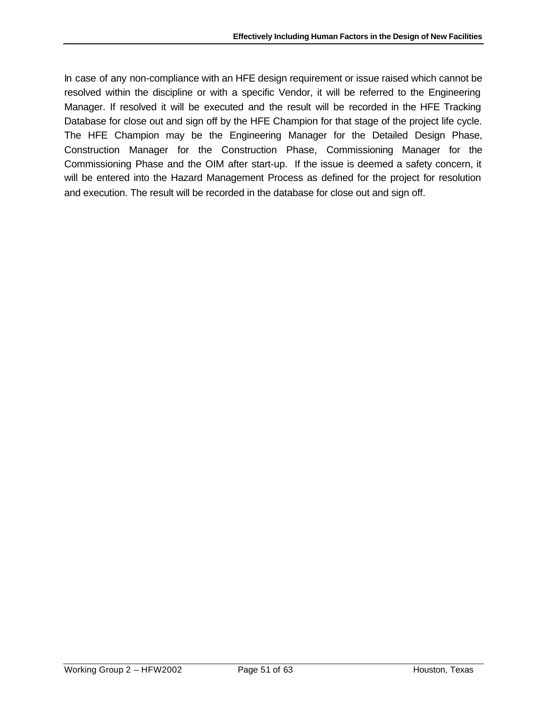In case of any non-compliance with an HFE design requirement or issue raised which cannot be resolved within the discipline or with a specific Vendor, it will be referred to the Engineering Manager. If resolved it will be executed and the result will be recorded in the HFE Tracking Database for close out and sign off by the HFE Champion for that stage of the project life cycle. The HFE Champion may be the Engineering Manager for the Detailed Design Phase, Construction Manager for the Construction Phase, Commissioning Manager for the Commissioning Phase and the OIM after start-up. If the issue is deemed a safety concern, it will be entered into the Hazard Management Process as defined for the project for resolution and execution. The result will be recorded in the database for close out and sign off.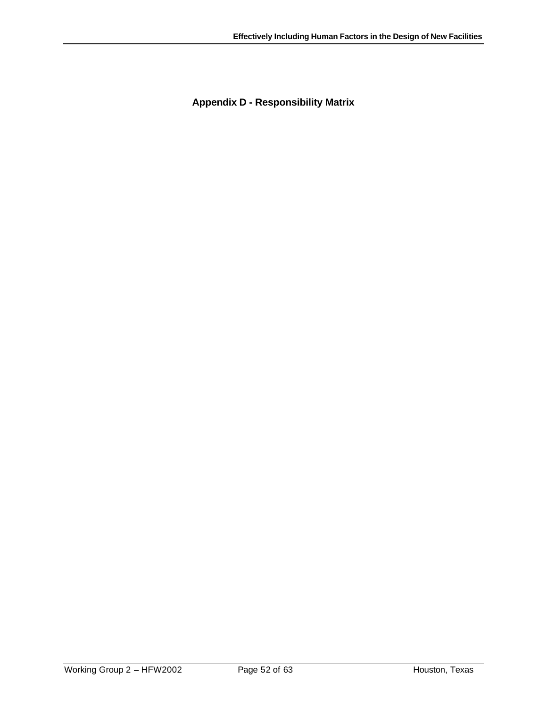**Appendix D - Responsibility Matrix**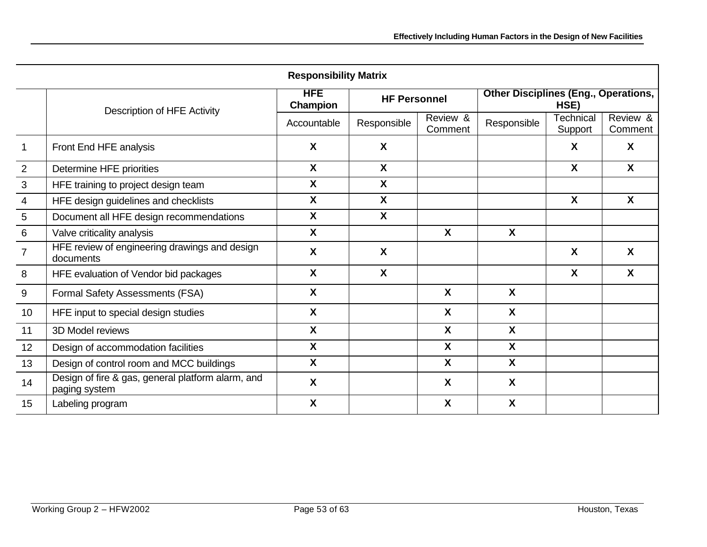| <b>Responsibility Matrix</b> |                                                                    |                           |                           |                           |                                                     |                             |                     |
|------------------------------|--------------------------------------------------------------------|---------------------------|---------------------------|---------------------------|-----------------------------------------------------|-----------------------------|---------------------|
|                              |                                                                    | <b>HFE</b><br>Champion    | <b>HF Personnel</b>       |                           | <b>Other Disciplines (Eng., Operations,</b><br>HSE) |                             |                     |
|                              | Description of HFE Activity                                        | Accountable               | Responsible               | Review &<br>Comment       | Responsible                                         | <b>Technical</b><br>Support | Review &<br>Comment |
|                              | Front End HFE analysis                                             | X                         | $\boldsymbol{\mathsf{X}}$ |                           |                                                     | X                           | X                   |
| $\overline{2}$               | Determine HFE priorities                                           | X                         | X                         |                           |                                                     | X                           | X                   |
| $\mathbf{3}$                 | HFE training to project design team                                | X                         | $\boldsymbol{\mathsf{X}}$ |                           |                                                     |                             |                     |
| $\overline{4}$               | HFE design guidelines and checklists                               | X                         | $\boldsymbol{\mathsf{X}}$ |                           |                                                     | $\boldsymbol{\mathsf{X}}$   | $\mathsf{x}$        |
| 5                            | Document all HFE design recommendations                            | X                         | $\boldsymbol{\mathsf{X}}$ |                           |                                                     |                             |                     |
| 6                            | Valve criticality analysis                                         | X                         |                           | X                         | X                                                   |                             |                     |
| $\overline{7}$               | HFE review of engineering drawings and design<br>documents         | X                         | $\boldsymbol{\mathsf{X}}$ |                           |                                                     | $\boldsymbol{\mathsf{X}}$   | X                   |
| 8                            | HFE evaluation of Vendor bid packages                              | X                         | X                         |                           |                                                     | X                           | X                   |
| 9                            | Formal Safety Assessments (FSA)                                    | X                         |                           | X                         | X                                                   |                             |                     |
| 10                           | HFE input to special design studies                                | X                         |                           | $\boldsymbol{\mathsf{X}}$ | X                                                   |                             |                     |
| 11                           | 3D Model reviews                                                   | X                         |                           | $\mathbf{x}$              | X                                                   |                             |                     |
| 12                           | Design of accommodation facilities                                 | X                         |                           | X                         | $\mathsf{x}$                                        |                             |                     |
| 13                           | Design of control room and MCC buildings                           | X                         |                           | $\boldsymbol{\mathsf{X}}$ | $\mathbf{x}$                                        |                             |                     |
| 14                           | Design of fire & gas, general platform alarm, and<br>paging system | $\boldsymbol{\mathsf{X}}$ |                           | $\boldsymbol{\mathsf{X}}$ | X                                                   |                             |                     |
| 15                           | Labeling program                                                   | X                         |                           | X                         | X                                                   |                             |                     |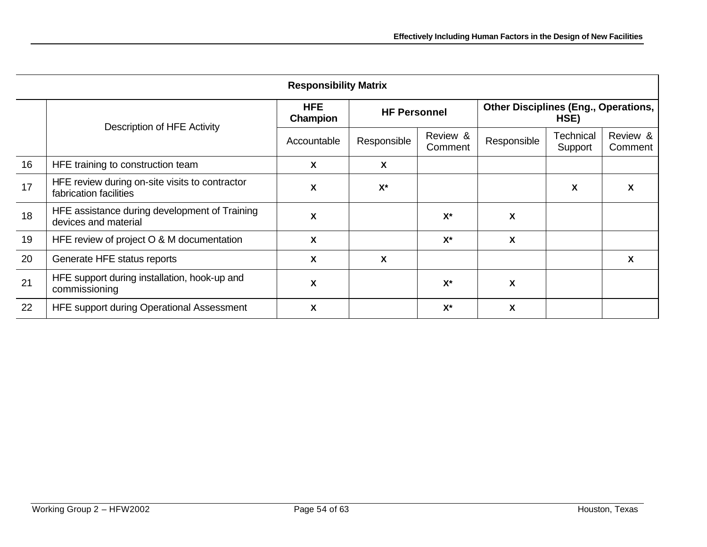| <b>Responsibility Matrix</b> |                                                                          |                           |                     |                     |                                                     |                      |                     |
|------------------------------|--------------------------------------------------------------------------|---------------------------|---------------------|---------------------|-----------------------------------------------------|----------------------|---------------------|
|                              | Description of HFE Activity                                              | <b>HFE</b><br>Champion    | <b>HF Personnel</b> |                     | <b>Other Disciplines (Eng., Operations,</b><br>HSE) |                      |                     |
|                              |                                                                          | Accountable               | Responsible         | Review &<br>Comment | Responsible                                         | Technical<br>Support | Review &<br>Comment |
| 16                           | HFE training to construction team                                        | X                         | X                   |                     |                                                     |                      |                     |
| 17                           | HFE review during on-site visits to contractor<br>fabrication facilities | X                         | $X^*$               |                     |                                                     | X                    | X                   |
| 18                           | HFE assistance during development of Training<br>devices and material    | $\boldsymbol{\mathsf{X}}$ |                     | $X^*$               | X                                                   |                      |                     |
| 19                           | HFE review of project O & M documentation                                | X                         |                     | $X^*$               | X                                                   |                      |                     |
| 20                           | Generate HFE status reports                                              | $\boldsymbol{\mathsf{X}}$ | X                   |                     |                                                     |                      | X                   |
| 21                           | HFE support during installation, hook-up and<br>commissioning            | $\boldsymbol{\mathsf{X}}$ |                     | $X^*$               | X                                                   |                      |                     |
| 22                           | HFE support during Operational Assessment                                | X                         |                     | $X^*$               | X                                                   |                      |                     |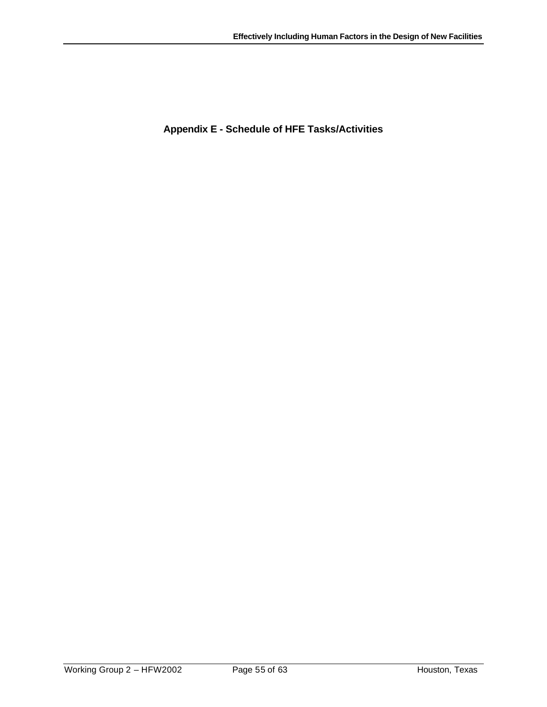**Appendix E - Schedule of HFE Tasks/Activities**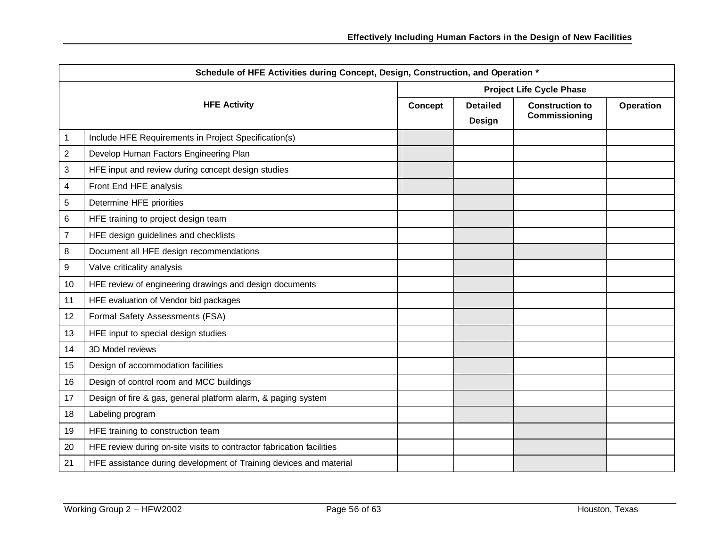| Schedule of HFE Activities during Concept, Design, Construction, and Operation * |                                                                       |                                 |                           |                                         |                  |
|----------------------------------------------------------------------------------|-----------------------------------------------------------------------|---------------------------------|---------------------------|-----------------------------------------|------------------|
|                                                                                  |                                                                       | <b>Project Life Cycle Phase</b> |                           |                                         |                  |
|                                                                                  | <b>HFE Activity</b>                                                   | Concept                         | <b>Detailed</b><br>Design | <b>Construction to</b><br>Commissioning | <b>Operation</b> |
| $\mathbf{1}$                                                                     | Include HFE Requirements in Project Specification(s)                  |                                 |                           |                                         |                  |
| $\overline{2}$                                                                   | Develop Human Factors Engineering Plan                                |                                 |                           |                                         |                  |
| $\sqrt{3}$                                                                       | HFE input and review during concept design studies                    |                                 |                           |                                         |                  |
| 4                                                                                | Front End HFE analysis                                                |                                 |                           |                                         |                  |
| 5                                                                                | Determine HFE priorities                                              |                                 |                           |                                         |                  |
| 6                                                                                | HFE training to project design team                                   |                                 |                           |                                         |                  |
| $\overline{7}$                                                                   | HFE design guidelines and checklists                                  |                                 |                           |                                         |                  |
| 8                                                                                | Document all HFE design recommendations                               |                                 |                           |                                         |                  |
| 9                                                                                | Valve criticality analysis                                            |                                 |                           |                                         |                  |
| 10                                                                               | HFE review of engineering drawings and design documents               |                                 |                           |                                         |                  |
| 11                                                                               | HFE evaluation of Vendor bid packages                                 |                                 |                           |                                         |                  |
| 12                                                                               | Formal Safety Assessments (FSA)                                       |                                 |                           |                                         |                  |
| 13                                                                               | HFE input to special design studies                                   |                                 |                           |                                         |                  |
| 14                                                                               | 3D Model reviews                                                      |                                 |                           |                                         |                  |
| 15                                                                               | Design of accommodation facilities                                    |                                 |                           |                                         |                  |
| 16                                                                               | Design of control room and MCC buildings                              |                                 |                           |                                         |                  |
| 17                                                                               | Design of fire & gas, general platform alarm, & paging system         |                                 |                           |                                         |                  |
| 18                                                                               | Labeling program                                                      |                                 |                           |                                         |                  |
| 19                                                                               | HFE training to construction team                                     |                                 |                           |                                         |                  |
| 20                                                                               | HFE review during on-site visits to contractor fabrication facilities |                                 |                           |                                         |                  |
| 21                                                                               | HFE assistance during development of Training devices and material    |                                 |                           |                                         |                  |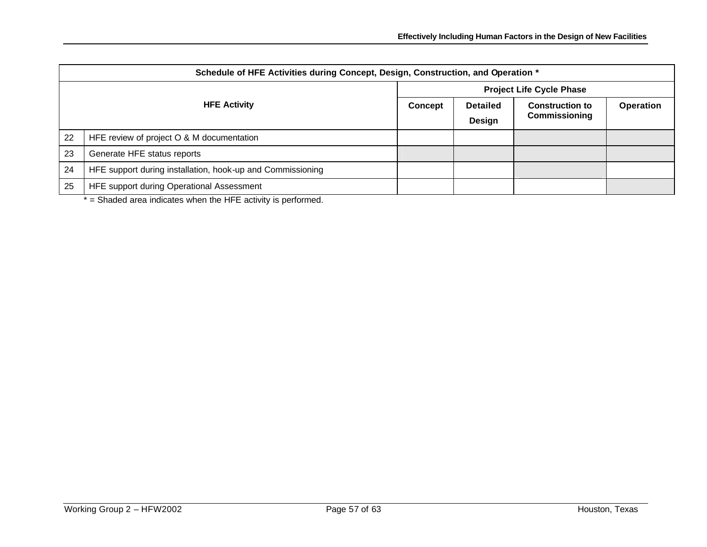| Schedule of HFE Activities during Concept, Design, Construction, and Operation * |                                                            |                                 |                 |                        |           |
|----------------------------------------------------------------------------------|------------------------------------------------------------|---------------------------------|-----------------|------------------------|-----------|
| <b>HFE Activity</b>                                                              |                                                            | <b>Project Life Cycle Phase</b> |                 |                        |           |
|                                                                                  |                                                            | <b>Concept</b>                  | <b>Detailed</b> | <b>Construction to</b> | Operation |
|                                                                                  |                                                            |                                 | <b>Design</b>   | <b>Commissioning</b>   |           |
| 22                                                                               | HFE review of project O & M documentation                  |                                 |                 |                        |           |
| 23                                                                               | Generate HFE status reports                                |                                 |                 |                        |           |
| 24                                                                               | HFE support during installation, hook-up and Commissioning |                                 |                 |                        |           |
| 25                                                                               | HFE support during Operational Assessment                  |                                 |                 |                        |           |

 $*$  = Shaded area indicates when the HFE activity is performed.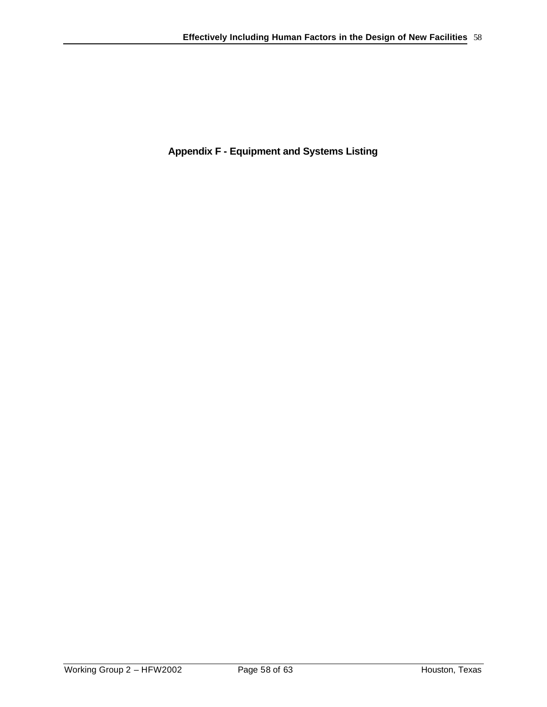**Appendix F - Equipment and Systems Listing**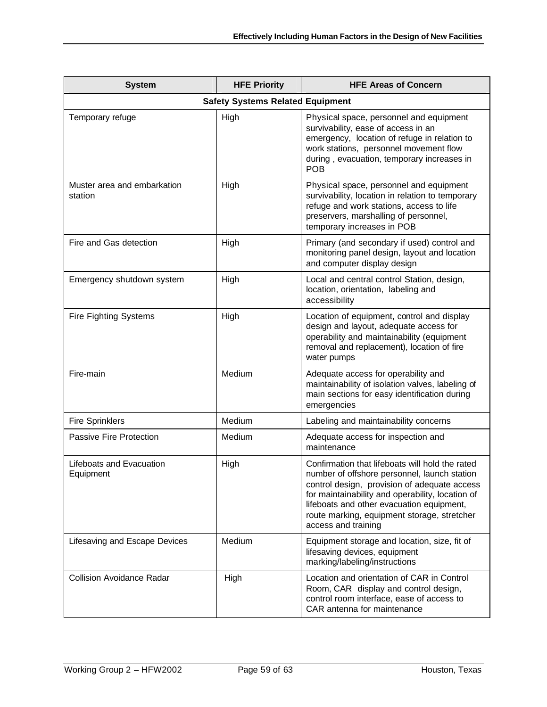| <b>System</b>                           | <b>HFE Priority</b> | <b>HFE Areas of Concern</b>                                                                                                                                                                                                                                                                                            |  |  |
|-----------------------------------------|---------------------|------------------------------------------------------------------------------------------------------------------------------------------------------------------------------------------------------------------------------------------------------------------------------------------------------------------------|--|--|
| <b>Safety Systems Related Equipment</b> |                     |                                                                                                                                                                                                                                                                                                                        |  |  |
| Temporary refuge                        | High                | Physical space, personnel and equipment<br>survivability, ease of access in an<br>emergency, location of refuge in relation to<br>work stations, personnel movement flow<br>during, evacuation, temporary increases in<br><b>POB</b>                                                                                   |  |  |
| Muster area and embarkation<br>station  | High                | Physical space, personnel and equipment<br>survivability, location in relation to temporary<br>refuge and work stations, access to life<br>preservers, marshalling of personnel,<br>temporary increases in POB                                                                                                         |  |  |
| Fire and Gas detection                  | High                | Primary (and secondary if used) control and<br>monitoring panel design, layout and location<br>and computer display design                                                                                                                                                                                             |  |  |
| Emergency shutdown system               | High                | Local and central control Station, design,<br>location, orientation, labeling and<br>accessibility                                                                                                                                                                                                                     |  |  |
| <b>Fire Fighting Systems</b>            | High                | Location of equipment, control and display<br>design and layout, adequate access for<br>operability and maintainability (equipment<br>removal and replacement), location of fire<br>water pumps                                                                                                                        |  |  |
| Fire-main                               | Medium              | Adequate access for operability and<br>maintainability of isolation valves, labeling of<br>main sections for easy identification during<br>emergencies                                                                                                                                                                 |  |  |
| <b>Fire Sprinklers</b>                  | Medium              | Labeling and maintainability concerns                                                                                                                                                                                                                                                                                  |  |  |
| Passive Fire Protection                 | Medium              | Adequate access for inspection and<br>maintenance                                                                                                                                                                                                                                                                      |  |  |
| Lifeboats and Evacuation<br>Equipment   | High                | Confirmation that lifeboats will hold the rated<br>number of offshore personnel, launch station<br>control design, provision of adequate access<br>for maintainability and operability, location of<br>lifeboats and other evacuation equipment,<br>route marking, equipment storage, stretcher<br>access and training |  |  |
| Lifesaving and Escape Devices           | Medium              | Equipment storage and location, size, fit of<br>lifesaving devices, equipment<br>marking/labeling/instructions                                                                                                                                                                                                         |  |  |
| <b>Collision Avoidance Radar</b>        | High                | Location and orientation of CAR in Control<br>Room, CAR display and control design,<br>control room interface, ease of access to<br>CAR antenna for maintenance                                                                                                                                                        |  |  |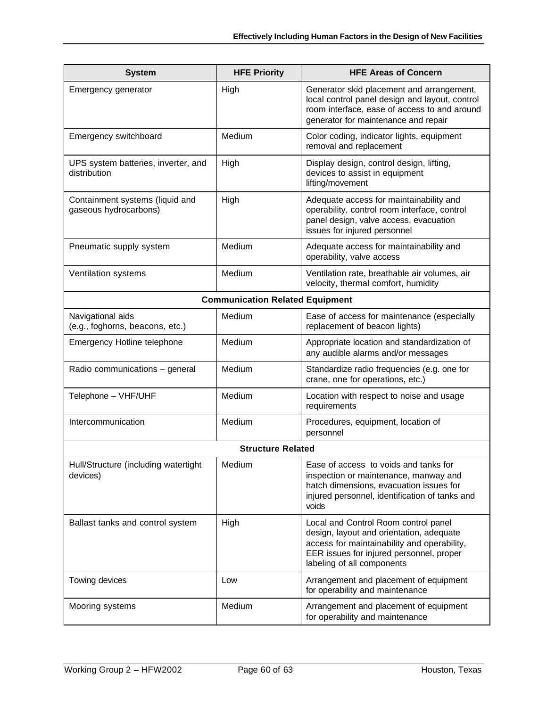| <b>System</b>                                            | <b>HFE Priority</b>                    | <b>HFE Areas of Concern</b>                                                                                                                                                                               |  |  |
|----------------------------------------------------------|----------------------------------------|-----------------------------------------------------------------------------------------------------------------------------------------------------------------------------------------------------------|--|--|
| Emergency generator                                      | High                                   | Generator skid placement and arrangement,<br>local control panel design and layout, control<br>room interface, ease of access to and around<br>generator for maintenance and repair                       |  |  |
| Emergency switchboard                                    | Medium                                 | Color coding, indicator lights, equipment<br>removal and replacement                                                                                                                                      |  |  |
| UPS system batteries, inverter, and<br>distribution      | High                                   | Display design, control design, lifting,<br>devices to assist in equipment<br>lifting/movement                                                                                                            |  |  |
| Containment systems (liquid and<br>gaseous hydrocarbons) | High                                   | Adequate access for maintainability and<br>operability, control room interface, control<br>panel design, valve access, evacuation<br>issues for injured personnel                                         |  |  |
| Pneumatic supply system                                  | Medium                                 | Adequate access for maintainability and<br>operability, valve access                                                                                                                                      |  |  |
| Ventilation systems                                      | Medium                                 | Ventilation rate, breathable air volumes, air<br>velocity, thermal comfort, humidity                                                                                                                      |  |  |
|                                                          | <b>Communication Related Equipment</b> |                                                                                                                                                                                                           |  |  |
| Navigational aids<br>(e.g., foghorns, beacons, etc.)     | Medium                                 | Ease of access for maintenance (especially<br>replacement of beacon lights)                                                                                                                               |  |  |
| Emergency Hotline telephone                              | Medium                                 | Appropriate location and standardization of<br>any audible alarms and/or messages                                                                                                                         |  |  |
| Radio communications - general                           | Medium                                 | Standardize radio frequencies (e.g. one for<br>crane, one for operations, etc.)                                                                                                                           |  |  |
| Telephone - VHF/UHF                                      | Medium                                 | Location with respect to noise and usage<br>requirements                                                                                                                                                  |  |  |
| Intercommunication                                       | Medium                                 | Procedures, equipment, location of<br>personnel                                                                                                                                                           |  |  |
| <b>Structure Related</b>                                 |                                        |                                                                                                                                                                                                           |  |  |
| Hull/Structure (including watertight<br>devices)         | Medium                                 | Ease of access to voids and tanks for<br>inspection or maintenance, manway and<br>hatch dimensions, evacuation issues for<br>injured personnel, identification of tanks and<br>voids                      |  |  |
| Ballast tanks and control system                         | High                                   | Local and Control Room control panel<br>design, layout and orientation, adequate<br>access for maintainability and operability,<br>EER issues for injured personnel, proper<br>labeling of all components |  |  |
| Towing devices                                           | Low                                    | Arrangement and placement of equipment<br>for operability and maintenance                                                                                                                                 |  |  |
| Mooring systems                                          | Medium                                 | Arrangement and placement of equipment<br>for operability and maintenance                                                                                                                                 |  |  |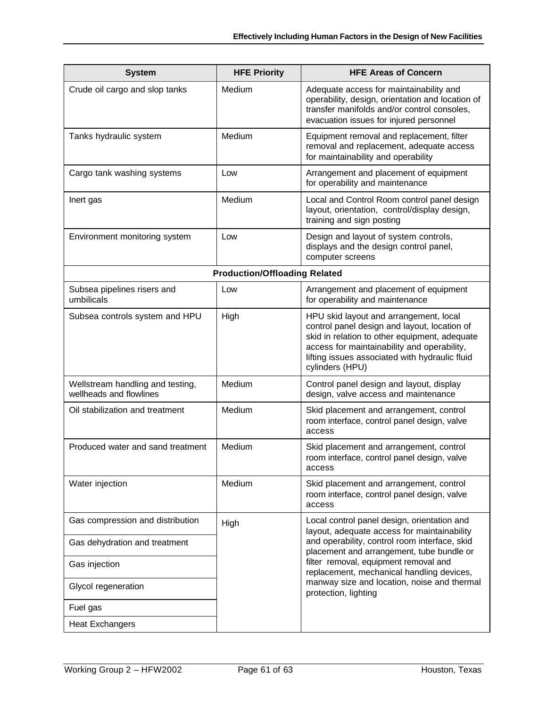| <b>System</b>                                               | <b>HFE Priority</b>                  | <b>HFE Areas of Concern</b>                                                                                                                                                                                                                                 |
|-------------------------------------------------------------|--------------------------------------|-------------------------------------------------------------------------------------------------------------------------------------------------------------------------------------------------------------------------------------------------------------|
| Crude oil cargo and slop tanks                              | Medium                               | Adequate access for maintainability and<br>operability, design, orientation and location of<br>transfer manifolds and/or control consoles,<br>evacuation issues for injured personnel                                                                       |
| Tanks hydraulic system                                      | Medium                               | Equipment removal and replacement, filter<br>removal and replacement, adequate access<br>for maintainability and operability                                                                                                                                |
| Cargo tank washing systems                                  | Low                                  | Arrangement and placement of equipment<br>for operability and maintenance                                                                                                                                                                                   |
| Inert gas                                                   | Medium                               | Local and Control Room control panel design<br>layout, orientation, control/display design,<br>training and sign posting                                                                                                                                    |
| Environment monitoring system                               | Low                                  | Design and layout of system controls,<br>displays and the design control panel,<br>computer screens                                                                                                                                                         |
|                                                             | <b>Production/Offloading Related</b> |                                                                                                                                                                                                                                                             |
| Subsea pipelines risers and<br>umbilicals                   | Low                                  | Arrangement and placement of equipment<br>for operability and maintenance                                                                                                                                                                                   |
| Subsea controls system and HPU                              | High                                 | HPU skid layout and arrangement, local<br>control panel design and layout, location of<br>skid in relation to other equipment, adequate<br>access for maintainability and operability,<br>lifting issues associated with hydraulic fluid<br>cylinders (HPU) |
| Wellstream handling and testing,<br>wellheads and flowlines | Medium                               | Control panel design and layout, display<br>design, valve access and maintenance                                                                                                                                                                            |
| Oil stabilization and treatment                             | Medium                               | Skid placement and arrangement, control<br>room interface, control panel design, valve<br>access                                                                                                                                                            |
| Produced water and sand treatment                           | Medium                               | Skid placement and arrangement, control<br>room interface, control panel design, valve<br>access                                                                                                                                                            |
| Water injection                                             | Medium                               | Skid placement and arrangement, control<br>room interface, control panel design, valve<br>access                                                                                                                                                            |
| Gas compression and distribution                            | High                                 | Local control panel design, orientation and                                                                                                                                                                                                                 |
| Gas dehydration and treatment                               |                                      | layout, adequate access for maintainability<br>and operability, control room interface, skid<br>placement and arrangement, tube bundle or                                                                                                                   |
| Gas injection                                               |                                      | filter removal, equipment removal and<br>replacement, mechanical handling devices,                                                                                                                                                                          |
| Glycol regeneration                                         |                                      | manway size and location, noise and thermal<br>protection, lighting                                                                                                                                                                                         |
| Fuel gas                                                    |                                      |                                                                                                                                                                                                                                                             |
| <b>Heat Exchangers</b>                                      |                                      |                                                                                                                                                                                                                                                             |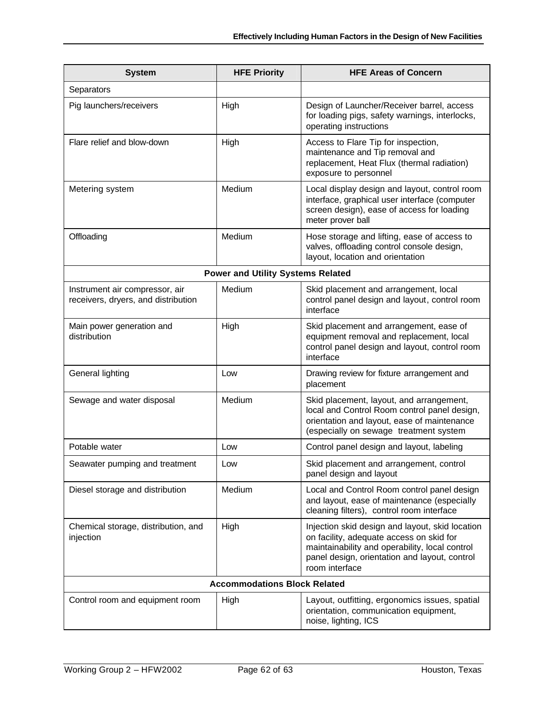| <b>System</b>                                                         | <b>HFE Priority</b>                      | <b>HFE Areas of Concern</b>                                                                                                                                                                                      |  |
|-----------------------------------------------------------------------|------------------------------------------|------------------------------------------------------------------------------------------------------------------------------------------------------------------------------------------------------------------|--|
| Separators                                                            |                                          |                                                                                                                                                                                                                  |  |
| Pig launchers/receivers                                               | High                                     | Design of Launcher/Receiver barrel, access<br>for loading pigs, safety warnings, interlocks,<br>operating instructions                                                                                           |  |
| Flare relief and blow-down                                            | High                                     | Access to Flare Tip for inspection,<br>maintenance and Tip removal and<br>replacement, Heat Flux (thermal radiation)<br>exposure to personnel                                                                    |  |
| Metering system                                                       | Medium                                   | Local display design and layout, control room<br>interface, graphical user interface (computer<br>screen design), ease of access for loading<br>meter prover ball                                                |  |
| Offloading                                                            | Medium                                   | Hose storage and lifting, ease of access to<br>valves, offloading control console design,<br>layout, location and orientation                                                                                    |  |
|                                                                       | <b>Power and Utility Systems Related</b> |                                                                                                                                                                                                                  |  |
| Instrument air compressor, air<br>receivers, dryers, and distribution | Medium                                   | Skid placement and arrangement, local<br>control panel design and layout, control room<br>interface                                                                                                              |  |
| Main power generation and<br>distribution                             | High                                     | Skid placement and arrangement, ease of<br>equipment removal and replacement, local<br>control panel design and layout, control room<br>interface                                                                |  |
| General lighting                                                      | Low                                      | Drawing review for fixture arrangement and<br>placement                                                                                                                                                          |  |
| Sewage and water disposal                                             | Medium                                   | Skid placement, layout, and arrangement,<br>local and Control Room control panel design,<br>orientation and layout, ease of maintenance<br>(especially on sewage treatment system                                |  |
| Potable water                                                         | Low                                      | Control panel design and layout, labeling                                                                                                                                                                        |  |
| Seawater pumping and treatment                                        | Low                                      | Skid placement and arrangement, control<br>panel design and layout                                                                                                                                               |  |
| Diesel storage and distribution                                       | Medium                                   | Local and Control Room control panel design<br>and layout, ease of maintenance (especially<br>cleaning filters), control room interface                                                                          |  |
| Chemical storage, distribution, and<br>injection                      | High                                     | Injection skid design and layout, skid location<br>on facility, adequate access on skid for<br>maintainability and operability, local control<br>panel design, orientation and layout, control<br>room interface |  |
| <b>Accommodations Block Related</b>                                   |                                          |                                                                                                                                                                                                                  |  |
| Control room and equipment room                                       | High                                     | Layout, outfitting, ergonomics issues, spatial<br>orientation, communication equipment,<br>noise, lighting, ICS                                                                                                  |  |